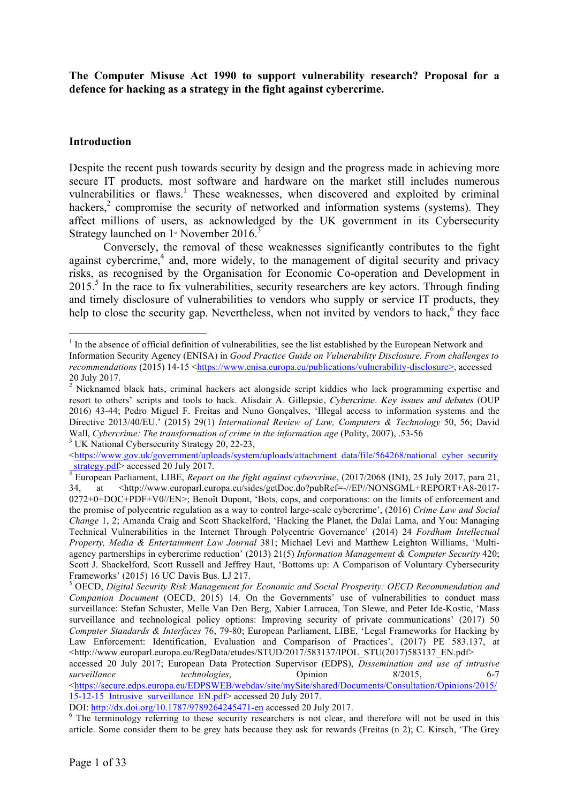**The Computer Misuse Act 1990 to support vulnerability research? Proposal for a defence for hacking as a strategy in the fight against cybercrime.** 

### **Introduction**

Despite the recent push towards security by design and the progress made in achieving more secure IT products, most software and hardware on the market still includes numerous vulnerabilities or flaws.<sup>1</sup> These weaknesses, when discovered and exploited by criminal hackers,<sup>2</sup> compromise the security of networked and information systems (systems). They affect millions of users, as acknowledged by the UK government in its Cybersecurity Strategy launched on  $1$ <sup>st</sup> November 2016.<sup>3</sup>

Conversely, the removal of these weaknesses significantly contributes to the fight against cybercrime, $4$  and, more widely, to the management of digital security and privacy risks, as recognised by the Organisation for Economic Co-operation and Development in 2015.<sup>5</sup> In the race to fix vulnerabilities, security researchers are key actors. Through finding and timely disclosure of vulnerabilities to vendors who supply or service IT products, they help to close the security gap. Nevertheless, when not invited by vendors to hack, $6$  they face

<https://www.gov.uk/government/uploads/system/uploads/attachment\_data/file/564268/national\_cyber\_security strategy.pdf> accessed 20 July 2017.

<sup>&</sup>lt;sup>1</sup> In the absence of official definition of vulnerabilities, see the list established by the European Network and Information Security Agency (ENISA) in *Good Practice Guide on Vulnerability Disclosure. From challenges to recommendations* (2015) 14-15 <https://www.enisa.europa.eu/publications/vulnerability-disclosure>, accessed 20 July 2017.

<sup>&</sup>lt;sup>2</sup> Nicknamed black hats, criminal hackers act alongside script kiddies who lack programming expertise and resort to others' scripts and tools to hack. Alisdair A. Gillepsie, Cybercrime. Key issues and debates (OUP 2016) 43-44; Pedro Miguel F. Freitas and Nuno Gonçalves, 'Illegal access to information systems and the Directive 2013/40/EU.' (2015) 29(1) *International Review of Law, Computers & Technology* 50, 56; David Wall, *Cybercrime: The transformation of crime in the information age* (Polity, 2007), .53-56<sup>3</sup> UK National Cybersecurity Strategy 20, 22-23,

 $\frac{d}{dt}$  European Parliament, LIBE, *Report on the fight against cybercrime*, (2017/2068 (INI), 25 July 2017, para 21, 34, at <http://www.europarl.europa.eu/sides/getDoc.do?pubRef=-//EP//NONSGML+REPORT+A8-2017-0272+0+DOC+PDF+V0//EN>; Benoît Dupont, 'Bots, cops, and corporations: on the limits of enforcement and the promise of polycentric regulation as a way to control large-scale cybercrime', (2016) *Crime Law and Social Change* 1, 2; Amanda Craig and Scott Shackelford, 'Hacking the Planet, the Dalai Lama, and You: Managing Technical Vulnerabilities in the Internet Through Polycentric Governance' (2014) 24 *Fordham Intellectual Property, Media & Entertainment Law Journal* 381; Michael Levi and Matthew Leighton Williams, 'Multiagency partnerships in cybercrime reduction' (2013) 21(5) *Information Management & Computer Security* 420; Scott J. Shackelford, Scott Russell and Jeffrey Haut, 'Bottoms up: A Comparison of Voluntary Cybersecurity Frameworks' (2015) 16 UC Davis Bus. LJ 217.<br><sup>5</sup> OECD, *Digital Security Risk Management for Economic and Social Prosperity: OECD Recommendation and* 

*Companion Document* (OECD, 2015) 14. On the Governments' use of vulnerabilities to conduct mass surveillance: Stefan Schuster, Melle Van Den Berg, Xabier Larrucea, Ton Slewe, and Peter Ide-Kostic, 'Mass surveillance and technological policy options: Improving security of private communications' (2017) 50 *Computer Standards & Interfaces* 76, 79-80; European Parliament, LIBE, 'Legal Frameworks for Hacking by Law Enforcement: Identification, Evaluation and Comparison of Practices', (2017) PE 583.137, at <http://www.europarl.europa.eu/RegData/etudes/STUD/2017/583137/IPOL\_STU(2017)583137\_EN.pdf>

accessed 20 July 2017; European Data Protection Supervisor (EDPS), *Dissemination and use of intrusive surveillance technologies*, Opinion 8/2015, 6-7 <https://secure.edps.europa.eu/EDPSWEB/webdav/site/mySite/shared/Documents/Consultation/Opinions/2015/  $15-12-15$  Intrusive surveillance EN.pdf> accessed 20 July 2017.

DOI:  $\frac{http://dx.doi.org/10.1787/9789264245471-en}{}$  accessed 20 July 2017.<br>
<sup>6</sup> The terminology referring to these security researchers is not clear, and therefore will not be used in this article. Some consider them to be grey hats because they ask for rewards (Freitas (n 2); C. Kirsch, 'The Grey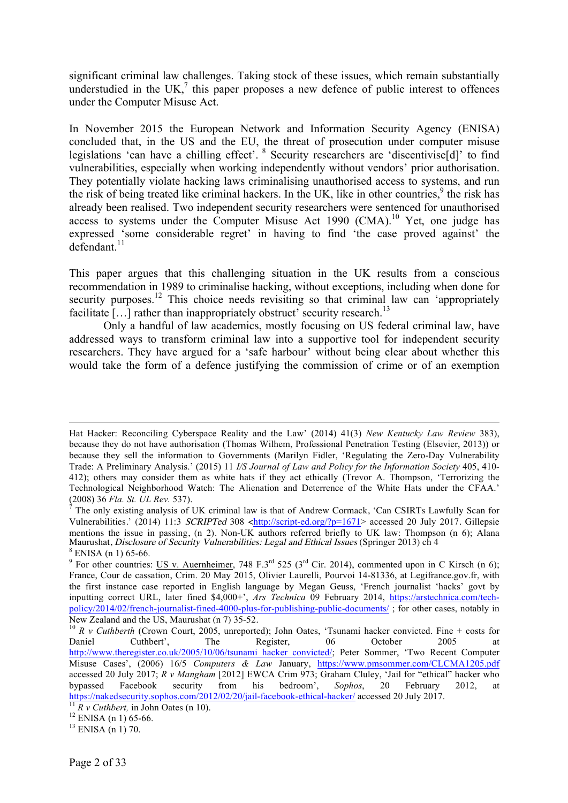significant criminal law challenges. Taking stock of these issues, which remain substantially understudied in the UK, $^7$  this paper proposes a new defence of public interest to offences under the Computer Misuse Act.

In November 2015 the European Network and Information Security Agency (ENISA) concluded that, in the US and the EU, the threat of prosecution under computer misuse legislations 'can have a chilling effect'. <sup>8</sup> Security researchers are 'discentivise[d]' to find vulnerabilities, especially when working independently without vendors' prior authorisation. They potentially violate hacking laws criminalising unauthorised access to systems, and run the risk of being treated like criminal hackers. In the UK, like in other countries, <sup>9</sup> the risk has already been realised. Two independent security researchers were sentenced for unauthorised access to systems under the Computer Misuse Act 1990  $(CMA)$ .<sup>10</sup> Yet, one judge has expressed 'some considerable regret' in having to find 'the case proved against' the defendant. 11

This paper argues that this challenging situation in the UK results from a conscious recommendation in 1989 to criminalise hacking, without exceptions, including when done for security purposes.<sup>12</sup> This choice needs revisiting so that criminal law can 'appropriately facilitate  $[...]$  rather than inappropriately obstruct' security research.<sup>13</sup>

Only a handful of law academics, mostly focusing on US federal criminal law, have addressed ways to transform criminal law into a supportive tool for independent security researchers. They have argued for a 'safe harbour' without being clear about whether this would take the form of a defence justifying the commission of crime or of an exemption

Hat Hacker: Reconciling Cyberspace Reality and the Law' (2014) 41(3) *New Kentucky Law Review* 383), because they do not have authorisation (Thomas Wilhem, Professional Penetration Testing (Elsevier, 2013)) or because they sell the information to Governments (Marilyn Fidler, 'Regulating the Zero-Day Vulnerability Trade: A Preliminary Analysis.' (2015) 11 *I/S Journal of Law and Policy for the Information Society* 405, 410- 412); others may consider them as white hats if they act ethically (Trevor A. Thompson, 'Terrorizing the Technological Neighborhood Watch: The Alienation and Deterrence of the White Hats under the CFAA.' (2008) 36 *Fla. St. UL Rev.* 537).

 $\hat{7}$  The only existing analysis of UK criminal law is that of Andrew Cormack, 'Can CSIRTs Lawfully Scan for Vulnerabilities.' (2014) 11:3 SCRIPTed 308 <http://script-ed.org/?p=1671> accessed 20 July 2017. Gillepsie mentions the issue in passing, (n 2). Non-UK authors referred briefly to UK law: Thompson (n 6); Alana Maurushat, *Disclosure of Security Vulnerabilities: Legal and Ethical Issues* (Springer 2013) ch 4 <sup>8</sup> ENISA (n 1) 65-66. <sup>9</sup> For other countries: US v. Auernheimer, 748 F.3<sup>rd</sup> 525 (3<sup>rd</sup> Cir. 2014), commented upon in C Kirsch (n 6);

France, Cour de cassation, Crim. 20 May 2015, Olivier Laurelli, Pourvoi 14-81336, at Legifrance.gov.fr, with the first instance case reported in English language by Megan Geuss, 'French journalist 'hacks' govt by inputting correct URL, later fined \$4,000+', *Ars Technica* 09 February 2014, https://arstechnica.com/techpolicy/2014/02/french-journalist-fined-4000-plus-for-publishing-public-documents/ ; for other cases, notably in

New Zealand and the US, Maurushat (n 7) 35-52.<br>
<sup>10</sup> *R v Cuthberth* (Crown Court, 2005, unreported); John Oates, 'Tsunami hacker convicted. Fine + costs for Daniel Cuthbert'. The Register, 06 October 2005 at Daniel Cuthbert', The Register, 06 October 2005 at http://www.theregister.co.uk/2005/10/06/tsunami\_hacker\_convicted/; Peter Sommer, 'Two Recent Computer Misuse Cases', (2006) 16/5 *Computers & Law* January, https://www.pmsommer.com/CLCMA1205.pdf accessed 20 July 2017; *R v Mangham* [2012] EWCA Crim 973; Graham Cluley, 'Jail for "ethical" hacker who bypassed Facebook security from his bedroom', *Sophos*, 20 February 2012, at https://nakedsecurity.sophos.com/2012/02/20/jail-facebook-ethical-hacker/ accessed 20 July 2017.<br><sup>11</sup> *R v Cuthbert*, in John Oates (n 10).<br><sup>12</sup> ENISA (n 1) 65-66.<br><sup>13</sup> ENISA (n 1) 70.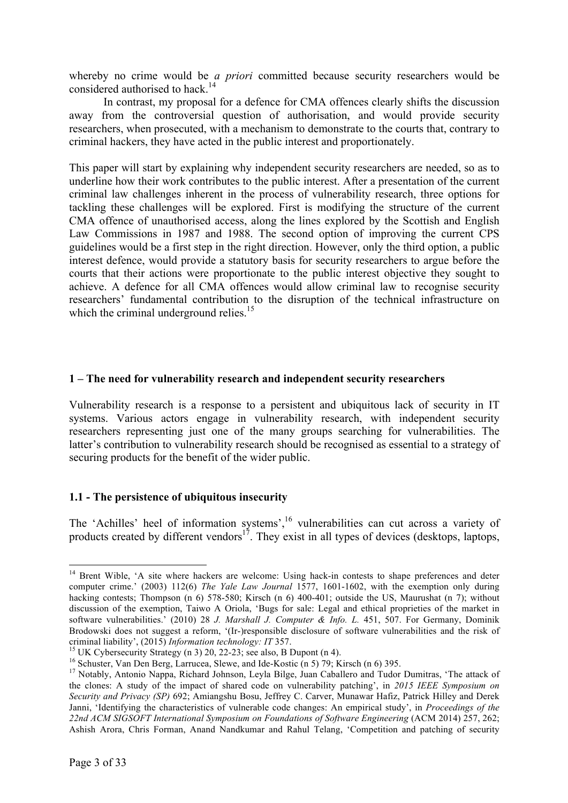whereby no crime would be *a priori* committed because security researchers would be considered authorised to hack.<sup>14</sup>

In contrast, my proposal for a defence for CMA offences clearly shifts the discussion away from the controversial question of authorisation, and would provide security researchers, when prosecuted, with a mechanism to demonstrate to the courts that, contrary to criminal hackers, they have acted in the public interest and proportionately.

This paper will start by explaining why independent security researchers are needed, so as to underline how their work contributes to the public interest. After a presentation of the current criminal law challenges inherent in the process of vulnerability research, three options for tackling these challenges will be explored. First is modifying the structure of the current CMA offence of unauthorised access, along the lines explored by the Scottish and English Law Commissions in 1987 and 1988. The second option of improving the current CPS guidelines would be a first step in the right direction. However, only the third option, a public interest defence, would provide a statutory basis for security researchers to argue before the courts that their actions were proportionate to the public interest objective they sought to achieve. A defence for all CMA offences would allow criminal law to recognise security researchers' fundamental contribution to the disruption of the technical infrastructure on which the criminal underground relies.<sup>15</sup>

# **1 – The need for vulnerability research and independent security researchers**

Vulnerability research is a response to a persistent and ubiquitous lack of security in IT systems. Various actors engage in vulnerability research, with independent security researchers representing just one of the many groups searching for vulnerabilities. The latter's contribution to vulnerability research should be recognised as essential to a strategy of securing products for the benefit of the wider public.

# **1.1 - The persistence of ubiquitous insecurity**

The 'Achilles' heel of information systems',<sup>16</sup> vulnerabilities can cut across a variety of products created by different vendors<sup>17</sup>. They exist in all types of devices (desktops, laptops,

<sup>&</sup>lt;sup>14</sup> Brent Wible, 'A site where hackers are welcome: Using hack-in contests to shape preferences and deter computer crime.' (2003) 112(6) *The Yale Law Journal* 1577, 1601-1602, with the exemption only during hacking contests; Thompson (n 6) 578-580; Kirsch (n 6) 400-401; outside the US, Maurushat (n 7); without discussion of the exemption, Taiwo A Oriola, 'Bugs for sale: Legal and ethical proprieties of the market in software vulnerabilities.' (2010) 28 *J. Marshall J. Computer & Info. L.* 451, 507. For Germany, Dominik Brodowski does not suggest a reform, '(Ir-)responsible disclosure of software vulnerabilities and the risk of criminal liability', (2015) Information technology: IT 357.

<sup>&</sup>lt;sup>15</sup> UK Cybersecurity Strategy (n 3) 20, 22-23; see also, B Dupont (n 4).<br><sup>16</sup> Schuster, Van Den Berg, Larrucea, Slewe, and Ide-Kostic (n 5) 79; Kirsch (n 6) 395.<br><sup>17</sup> Notably, Antonio Nappa, Richard Johnson, Leyla Bilge, the clones: A study of the impact of shared code on vulnerability patching', in *2015 IEEE Symposium on Security and Privacy (SP)* 692; Amiangshu Bosu, Jeffrey C. Carver, Munawar Hafiz, Patrick Hilley and Derek Janni, 'Identifying the characteristics of vulnerable code changes: An empirical study', in *Proceedings of the 22nd ACM SIGSOFT International Symposium on Foundations of Software Engineering* (ACM 2014) 257, 262; Ashish Arora, Chris Forman, Anand Nandkumar and Rahul Telang, 'Competition and patching of security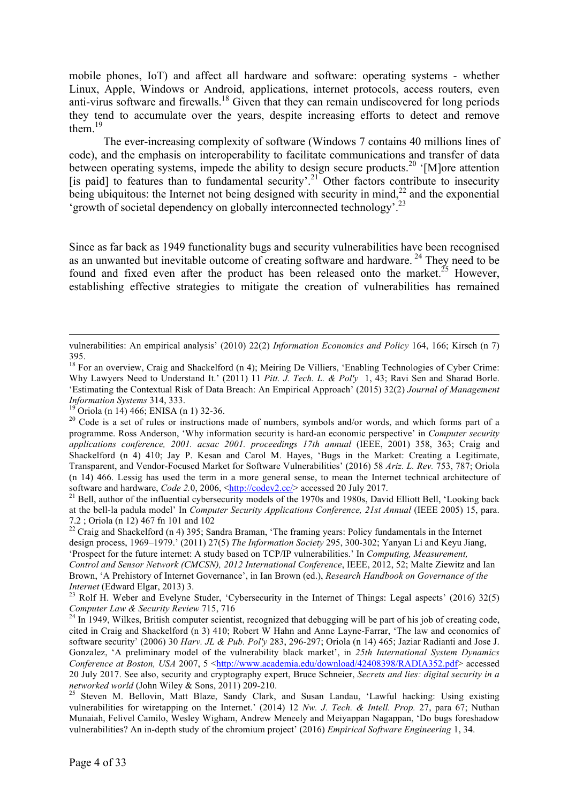mobile phones, IoT) and affect all hardware and software: operating systems - whether Linux, Apple, Windows or Android, applications, internet protocols, access routers, even anti-virus software and firewalls.<sup>18</sup> Given that they can remain undiscovered for long periods they tend to accumulate over the years, despite increasing efforts to detect and remove them $19$ 

The ever-increasing complexity of software (Windows 7 contains 40 millions lines of code), and the emphasis on interoperability to facilitate communications and transfer of data between operating systems, impede the ability to design secure products.<sup>20</sup> '[M]ore attention [is paid] to features than to fundamental security'.<sup>21</sup> Other factors contribute to insecurity being ubiquitous: the Internet not being designed with security in mind, $^{22}$  and the exponential 'growth of societal dependency on globally interconnected technology'.23

Since as far back as 1949 functionality bugs and security vulnerabilities have been recognised as an unwanted but inevitable outcome of creating software and hardware.<sup>24</sup> They need to be found and fixed even after the product has been released onto the market.<sup>25</sup> However, establishing effective strategies to mitigate the creation of vulnerabilities has remained

 $\overline{a}$ 

design process, 1969–1979.' (2011) 27(5) *The Information Society* 295, 300-302; Yanyan Li and Keyu Jiang, 'Prospect for the future internet: A study based on TCP/IP vulnerabilities.' In *Computing, Measurement, Control and Sensor Network (CMCSN), 2012 International Conference*, IEEE, 2012, 52; Malte Ziewitz and Ian

Brown, 'A Prehistory of Internet Governance', in Ian Brown (ed.), *Research Handbook on Governance of the* 

*Internet* (Edward Elgar, 2013) 3.<br><sup>23</sup> Rolf H. Weber and Evelyne Studer, 'Cybersecurity in the Internet of Things: Legal aspects' (2016) 32(5)<br>*Computer Law & Security Review* 715, 716

vulnerabilities: An empirical analysis' (2010) 22(2) *Information Economics and Policy* 164, 166; Kirsch (n 7) 395.

<sup>&</sup>lt;sup>18</sup> For an overview, Craig and Shackelford (n 4); Meiring De Villiers, 'Enabling Technologies of Cyber Crime: Why Lawyers Need to Understand It.' (2011) 11 *Pitt. J. Tech. L. & Pol'y* 1, 43; Ravi Sen and Sharad Borle. 'Estimating the Contextual Risk of Data Breach: An Empirical Approach' (2015) 32(2) *Journal of Management* 

<sup>&</sup>lt;sup>19</sup> Oriola (n 14) 466; ENISA (n 1) 32-36.<br><sup>20</sup> Code is a set of rules or instructions made of numbers, symbols and/or words, and which forms part of a programme. Ross Anderson, 'Why information security is hard-an economic perspective' in *Computer security applications conference, 2001. acsac 2001. proceedings 17th annual* (IEEE, 2001) 358, 363; Craig and Shackelford (n 4) 410; Jay P. Kesan and Carol M. Hayes, 'Bugs in the Market: Creating a Legitimate, Transparent, and Vendor-Focused Market for Software Vulnerabilities' (2016) 58 *Ariz. L. Rev.* 753, 787; Oriola (n 14) 466. Lessig has used the term in a more general sense, to mean the Internet technical architecture of software and hardware, *Code 2.*0, 2006, <http://codev2.cc/> accessed 20 July 2017.<br><sup>21</sup> Bell, author of the influential cybersecurity models of the 1970s and 1980s, David Elliott Bell, 'Looking back

at the bell-la padula model' In *Computer Security Applications Conference, 21st Annual* (IEEE 2005) 15, para. 7.2; Oriola (n 12) 467 fn 101 and 102<br><sup>22</sup> Craig and Shackelford (n 4) 395; Sandra Braman, 'The framing years: Policy fundamentals in the Internet

<sup>&</sup>lt;sup>24</sup> In 1949, Wilkes, British computer scientist, recognized that debugging will be part of his job of creating code, cited in Craig and Shackelford (n 3) 410; Robert W Hahn and Anne Layne-Farrar, 'The law and economics of software security' (2006) 30 *Harv. JL & Pub. Pol'y* 283, 296-297; Oriola (n 14) 465; Jaziar Radianti and Jose J. Gonzalez, 'A preliminary model of the vulnerability black market', in *25th International System Dynamics Conference at Boston, USA* 2007, 5 <http://www.academia.edu/download/42408398/RADIA352.pdf> accessed 20 July 2017. See also, security and cryptography expert, Bruce Schneier, *Secrets and lies: digital security in a* 

*networked world* (John Wiley & Sons, 2011) 209-210.<br><sup>25</sup> Steven M. Bellovin, Matt Blaze, Sandy Clark, and Susan Landau, 'Lawful hacking: Using existing vulnerabilities for wiretapping on the Internet.' (2014) 12 *Nw. J. Tech. & Intell. Prop.* 27, para 67; Nuthan Munaiah, Felivel Camilo, Wesley Wigham, Andrew Meneely and Meiyappan Nagappan, 'Do bugs foreshadow vulnerabilities? An in-depth study of the chromium project' (2016) *Empirical Software Engineering* 1, 34.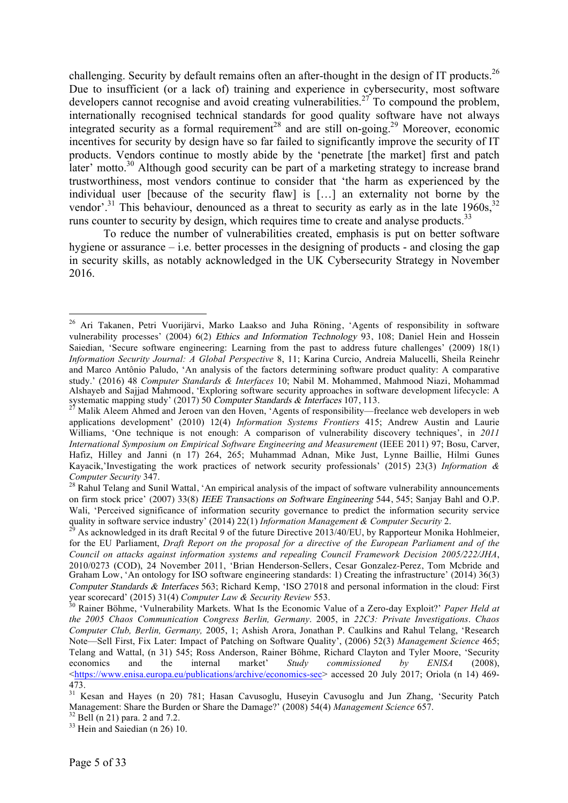challenging. Security by default remains often an after-thought in the design of IT products.<sup>26</sup> Due to insufficient (or a lack of) training and experience in cybersecurity, most software developers cannot recognise and avoid creating vulnerabilities.<sup>27</sup> To compound the problem, internationally recognised technical standards for good quality software have not always integrated security as a formal requirement<sup>28</sup> and are still on-going.<sup>29</sup> Moreover, economic incentives for security by design have so far failed to significantly improve the security of IT products. Vendors continue to mostly abide by the 'penetrate [the market] first and patch later' motto.<sup>30</sup> Although good security can be part of a marketing strategy to increase brand trustworthiness, most vendors continue to consider that 'the harm as experienced by the individual user [because of the security flaw] is […] an externality not borne by the vendor'.<sup>31</sup> This behaviour, denounced as a threat to security as early as in the late  $1960s$ ,<sup>32</sup> runs counter to security by design, which requires time to create and analyse products.<sup>33</sup>

To reduce the number of vulnerabilities created, emphasis is put on better software hygiene or assurance  $-\text{i.e.}$  better processes in the designing of products - and closing the gap in security skills, as notably acknowledged in the UK Cybersecurity Strategy in November 2016.

 <sup>26</sup> Ari Takanen, Petri Vuorijärvi, Marko Laakso and Juha Röning, 'Agents of responsibility in software vulnerability processes' (2004) 6(2) Ethics and Information Technology 93, 108; Daniel Hein and Hossein Saiedian, 'Secure software engineering: Learning from the past to address future challenges' (2009) 18(1) *Information Security Journal: A Global Perspective* 8, 11; Karina Curcio, Andreia Malucelli, Sheila Reinehr and Marco Antônio Paludo, 'An analysis of the factors determining software product quality: A comparative study.' (2016) 48 *Computer Standards & Interfaces* 10; Nabil M. Mohammed, Mahmood Niazi, Mohammad Alshayeb and Sajjad Mahmood, 'Exploring software security approaches in software development lifecycle: A

systematic mapping study' (2017) 50 *Computer Standards & Interfaces* 107, 113.<br><sup>27</sup> Malik Aleem Ahmed and Jeroen van den Hoven, 'Agents of responsibility—freelance web developers in web applications development' (2010) 12(4) *Information Systems Frontiers* 415; Andrew Austin and Laurie Williams, 'One technique is not enough: A comparison of vulnerability discovery techniques', in *2011 International Symposium on Empirical Software Engineering and Measurement* (IEEE 2011) 97; Bosu, Carver, Hafiz, Hilley and Janni (n 17) 264, 265; Muhammad Adnan, Mike Just, Lynne Baillie, Hilmi Gunes Kayacik,'Investigating the work practices of network security professionals' (2015) 23(3) *Information & Computer Security* 347.<br><sup>28</sup> Rahul Telang and Sunil Wattal, 'An empirical analysis of the impact of software vulnerability announcements

on firm stock price' (2007) 33(8) IEEE Transactions on Software Engineering 544, 545; Sanjay Bahl and O.P. Wali, 'Perceived significance of information security governance to predict the information security service quality in software service industry' (2014) 22(1) *Information Management & Computer Security* 2.<br><sup>29</sup> As acknowledged in its draft Recital 9 of the future Directive 2013/40/EU, by Rapporteur Monika Hohlmeier,

for the EU Parliament, *Draft Report on the proposal for a directive of the European Parliament and of the Council on attacks against information systems and repealing Council Framework Decision 2005/222/JHA*, 2010/0273 (COD), 24 November 2011, 'Brian Henderson-Sellers, Cesar Gonzalez-Perez, Tom Mcbride and Graham Low, 'An ontology for ISO software engineering standards: 1) Creating the infrastructure' (2014) 36(3) Computer Standards & Interfaces 563; Richard Kemp, 'ISO 27018 and personal information in the cloud: First year scorecard' (2015) 31(4) *Computer Law & Security Review* 553.<br><sup>30</sup> Rainer Böhme, 'Vulnerability Markets. What Is the Economic Value of a Zero-day Exploit?' *Paper Held at* 

*the 2005 Chaos Communication Congress Berlin, Germany*. 2005, in *22C3: Private Investigations*. *Chaos Computer Club, Berlin, Germany,* 2005, 1; Ashish Arora, Jonathan P. Caulkins and Rahul Telang, 'Research Note—Sell First, Fix Later: Impact of Patching on Software Quality', (2006) 52(3) *Management Science* 465; Telang and Wattal, (n 31) 545; Ross Anderson, Rainer Böhme, Richard Clayton and Tyler Moore, 'Security economics and the internal market' *Study commissioned by ENISA* (2008), <https://www.enisa.europa.eu/publications/archive/economics-sec> accessed 20 July 2017; Oriola (n 14) 469- 473.

<sup>&</sup>lt;sup>31</sup> Kesan and Hayes (n 20) 781; Hasan Cavusoglu, Huseyin Cavusoglu and Jun Zhang, 'Security Patch Management: Share the Burden or Share the Damage?' (2008) 54(4) *Management Science* 657. <sup>32</sup> Bell (n 21) para. 2 and 7.2.

 $33$  Hein and Saiedian (n 26) 10.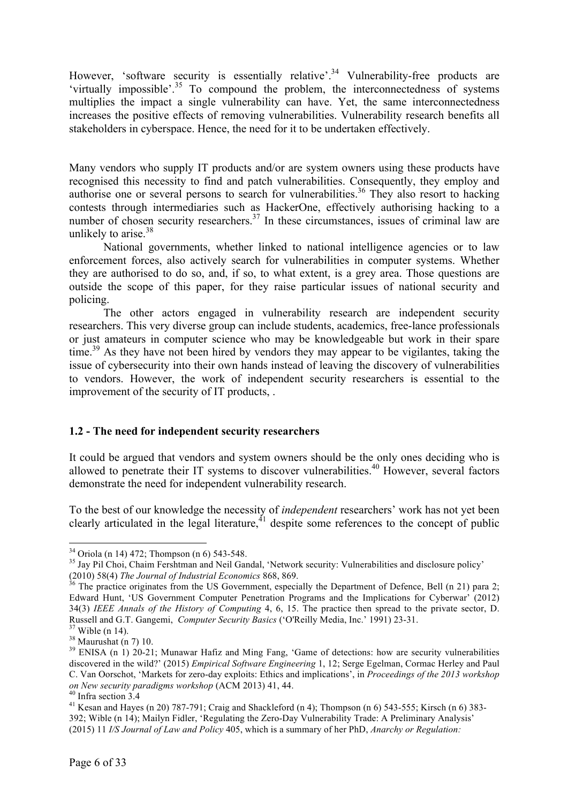However, 'software security is essentially relative'.<sup>34</sup> Vulnerability-free products are 'virtually impossible'.<sup>35</sup> To compound the problem, the interconnectedness of systems multiplies the impact a single vulnerability can have. Yet, the same interconnectedness increases the positive effects of removing vulnerabilities. Vulnerability research benefits all stakeholders in cyberspace. Hence, the need for it to be undertaken effectively.

Many vendors who supply IT products and/or are system owners using these products have recognised this necessity to find and patch vulnerabilities. Consequently, they employ and authorise one or several persons to search for vulnerabilities.<sup>36</sup> They also resort to hacking contests through intermediaries such as HackerOne, effectively authorising hacking to a number of chosen security researchers.<sup>37</sup> In these circumstances, issues of criminal law are unlikely to arise.<sup>38</sup>

National governments, whether linked to national intelligence agencies or to law enforcement forces, also actively search for vulnerabilities in computer systems. Whether they are authorised to do so, and, if so, to what extent, is a grey area. Those questions are outside the scope of this paper, for they raise particular issues of national security and policing.

The other actors engaged in vulnerability research are independent security researchers. This very diverse group can include students, academics, free-lance professionals or just amateurs in computer science who may be knowledgeable but work in their spare time.<sup>39</sup> As they have not been hired by vendors they may appear to be vigilantes, taking the issue of cybersecurity into their own hands instead of leaving the discovery of vulnerabilities to vendors. However, the work of independent security researchers is essential to the improvement of the security of IT products, .

### **1.2 - The need for independent security researchers**

It could be argued that vendors and system owners should be the only ones deciding who is allowed to penetrate their IT systems to discover vulnerabilities. <sup>40</sup> However, several factors demonstrate the need for independent vulnerability research.

To the best of our knowledge the necessity of *independent* researchers' work has not yet been clearly articulated in the legal literature,  $\frac{1}{4}$  despite some references to the concept of public

 $34$  Oriola (n 14) 472; Thompson (n 6) 543-548.<br><sup>35</sup> Jay Pil Choi, Chaim Fershtman and Neil Gandal, 'Network security: Vulnerabilities and disclosure policy'

<sup>(2010) 58(4)</sup> *The Journal of Industrial Economics* 868, 869.<br><sup>36</sup> The practice originates from the US Government, especially the Department of Defence, Bell (n 21) para 2; Edward Hunt, 'US Government Computer Penetration Programs and the Implications for Cyberwar' (2012) 34(3) *IEEE Annals of the History of Computing* 4, 6, 15. The practice then spread to the private sector, D.

Russell and G.T. Gangemi, *Computer Security Basics* ('O'Reilly Media, Inc.' 1991) 23-31.<br><sup>37</sup> Wible (n 14).<br><sup>38</sup> Maurushat (n 7) 10.<br><sup>39</sup> ENISA (n 1) 20-21; Munawar Hafiz and Ming Fang, 'Game of detections: how are securi discovered in the wild?' (2015) *Empirical Software Engineering* 1, 12; Serge Egelman, Cormac Herley and Paul C. Van Oorschot, 'Markets for zero-day exploits: Ethics and implications', in *Proceedings of the 2013 workshop on New security paradigms workshop* (ACM 2013) 41, 44.<br><sup>40</sup> Infra section 3.4<br><sup>41</sup> Kesan and Hayes (n 20) 787-791; Craig and Shackleford (n 4); Thompson (n 6) 543-555; Kirsch (n 6) 383-

<sup>392;</sup> Wible (n 14); Mailyn Fidler, 'Regulating the Zero-Day Vulnerability Trade: A Preliminary Analysis' (2015) 11 *I/S Journal of Law and Policy* 405, which is a summary of her PhD, *Anarchy or Regulation:*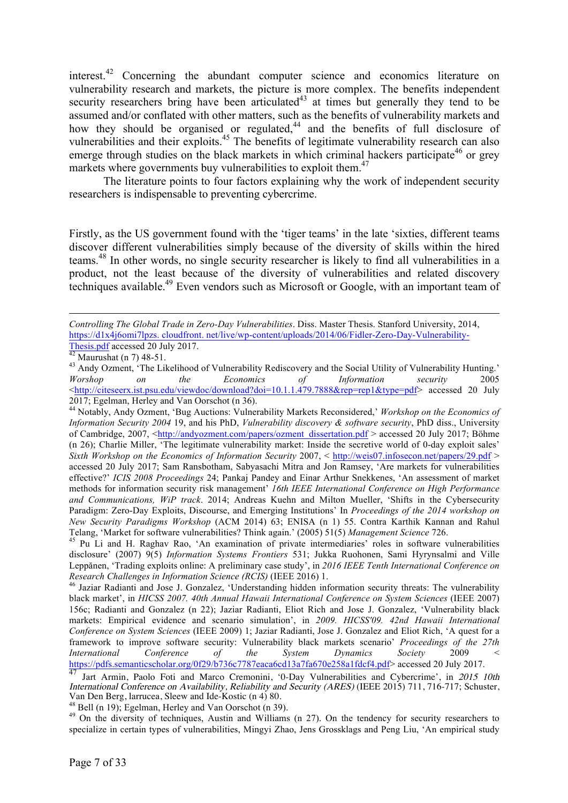interest.<sup>42</sup> Concerning the abundant computer science and economics literature on vulnerability research and markets, the picture is more complex. The benefits independent security researchers bring have been articulated<sup>43</sup> at times but generally they tend to be assumed and/or conflated with other matters, such as the benefits of vulnerability markets and how they should be organised or regulated,<sup>44</sup> and the benefits of full disclosure of vulnerabilities and their exploits.<sup>45</sup> The benefits of legitimate vulnerability research can also emerge through studies on the black markets in which criminal hackers participate<sup>46</sup> or grey markets where governments buy vulnerabilities to exploit them.<sup>47</sup>

The literature points to four factors explaining why the work of independent security researchers is indispensable to preventing cybercrime.

Firstly, as the US government found with the 'tiger teams' in the late 'sixties, different teams discover different vulnerabilities simply because of the diversity of skills within the hired teams. <sup>48</sup> In other words, no single security researcher is likely to find all vulnerabilities in a product, not the least because of the diversity of vulnerabilities and related discovery techniques available.<sup>49</sup> Even vendors such as Microsoft or Google, with an important team of

 $\overline{a}$ 

*Controlling The Global Trade in Zero-Day Vulnerabilities*. Diss. Master Thesis. Stanford University, 2014, https://d1x4j6omi7lpzs. cloudfront. net/live/wp-content/uploads/2014/06/Fidler-Zero-Day-Vulnerability-<br>Thesis.pdf accessed 20 July 2017.

 $\frac{1}{42}$  Maurushat (n 7) 48-51.<br><sup>43</sup> Maurushat (n 7) 48-51.<br><sup>43</sup> Andy Ozment, 'The Likelihood of Vulnerability Rediscovery and the Social Utility of Vulnerability Hunting.' *Worshop on the Economics of Information security* 2005 <http://citeseerx.ist.psu.edu/viewdoc/download?doi=10.1.1.479.7888&rep=rep1&type=pdf> accessed 20 July

<sup>&</sup>lt;sup>44</sup> Notably, Andy Ozment, 'Bug Auctions: Vulnerability Markets Reconsidered,' *Workshop on the Economics of Information Security 2004* 19, and his PhD, *Vulnerability discovery & software security*, PhD diss., University of Cambridge, 2007, <http://andyozment.com/papers/ozment\_dissertation.pdf > accessed 20 July 2017; Böhme (n 26); Charlie Miller, 'The legitimate vulnerability market: Inside the secretive world of 0-day exploit sales' *Sixth Workshop on the Economics of Information Security* 2007, < http://weis07.infosecon.net/papers/29.pdf > accessed 20 July 2017; Sam Ransbotham, Sabyasachi Mitra and Jon Ramsey, 'Are markets for vulnerabilities effective?' *ICIS 2008 Proceedings* 24; Pankaj Pandey and Einar Arthur Snekkenes, 'An assessment of market methods for information security risk management' *16th IEEE International Conference on High Performance and Communications, WiP track*. 2014; Andreas Kuehn and Milton Mueller, 'Shifts in the Cybersecurity Paradigm: Zero-Day Exploits, Discourse, and Emerging Institutions' In *Proceedings of the 2014 workshop on New Security Paradigms Workshop* (ACM 2014) 63; ENISA (n 1) 55. Contra Karthik Kannan and Rahul Telang, 'Market for software vulnerabilities? Think again.' (2005) 51(5) *Management Science* 726. <sup>45</sup> Pu Li and H. Raghav Rao, 'An examination of private intermediaries' roles in software vulnerabilities

disclosure' (2007) 9(5) *Information Systems Frontiers* 531; Jukka Ruohonen, Sami Hyrynsalmi and Ville Leppănen, 'Trading exploits online: A preliminary case study', in *2016 IEEE Tenth International Conference on Research Challenges in Information Science (RCIS)* (IEEE 2016) 1.<br><sup>46</sup> Jaziar Radianti and Jose J. Gonzalez, 'Understanding hidden information security threats: The vulnerability

black market', in *HICSS 2007. 40th Annual Hawaii International Conference on System Sciences* (IEEE 2007) 156c; Radianti and Gonzalez (n 22); Jaziar Radianti, Eliot Rich and Jose J. Gonzalez, 'Vulnerability black markets: Empirical evidence and scenario simulation', in *2009. HICSS'09. 42nd Hawaii International Conference on System Sciences* (IEEE 2009) 1; Jaziar Radianti, Jose J. Gonzalez and Eliot Rich, 'A quest for a framework to improve software security: Vulnerability black markets scenario' *Proceedings of the 27th International Conference of the System Dynamics Society* 2009 < https://pdfs.semanticscholar.org/0f29/b736c7787eaca6cd13a7fa670e258a1fdcf4.pdf> accessed 20 July 2017.

<sup>&</sup>lt;sup>47</sup> Jart Armin, Paolo Foti and Marco Cremonini, '0-Day Vulnerabilities and Cybercrime', in 2015 10th International Conference on Availability, Reliability and Security (ARES) (IEEE 2015) 711, 716-717; Schuster, Van Den Berg, larrucea, Sleew and Ide-Kostic (n 4) 80.

<sup>&</sup>lt;sup>48</sup> Bell (n 19); Egelman, Herley and Van Oorschot (n 39).  $\frac{49}{49}$  On the tendency for security researchers to  $\frac{49}{49}$ specialize in certain types of vulnerabilities, Mingyi Zhao, Jens Grossklags and Peng Liu, 'An empirical study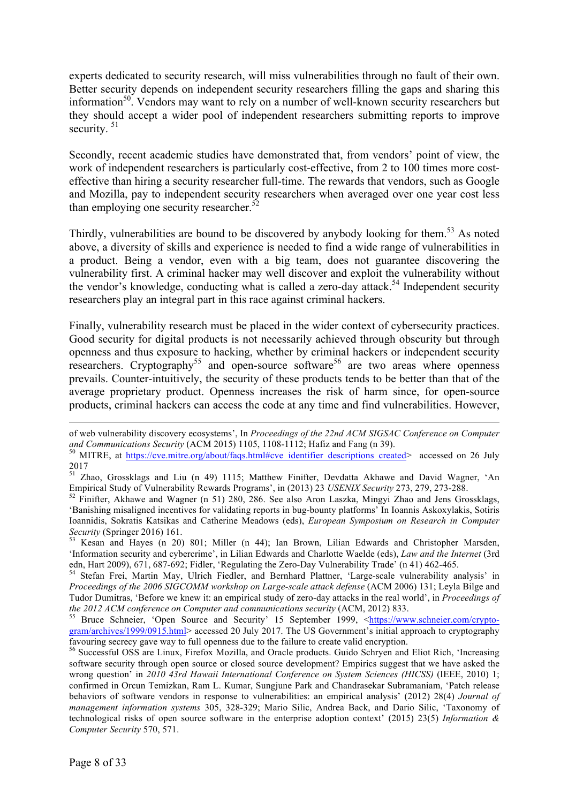experts dedicated to security research, will miss vulnerabilities through no fault of their own. Better security depends on independent security researchers filling the gaps and sharing this information50. Vendors may want to rely on a number of well-known security researchers but they should accept a wider pool of independent researchers submitting reports to improve security.<sup>51</sup>

Secondly, recent academic studies have demonstrated that, from vendors' point of view, the work of independent researchers is particularly cost-effective, from 2 to 100 times more costeffective than hiring a security researcher full-time. The rewards that vendors, such as Google and Mozilla, pay to independent security researchers when averaged over one year cost less than employing one security researcher. $52$ 

Thirdly, vulnerabilities are bound to be discovered by anybody looking for them.<sup>53</sup> As noted above, a diversity of skills and experience is needed to find a wide range of vulnerabilities in a product. Being a vendor, even with a big team, does not guarantee discovering the vulnerability first. A criminal hacker may well discover and exploit the vulnerability without the vendor's knowledge, conducting what is called a zero-day attack.<sup>54</sup> Independent security researchers play an integral part in this race against criminal hackers.

Finally, vulnerability research must be placed in the wider context of cybersecurity practices. Good security for digital products is not necessarily achieved through obscurity but through openness and thus exposure to hacking, whether by criminal hackers or independent security researchers. Cryptography<sup>55</sup> and open-source software<sup>56</sup> are two areas where openness prevails. Counter-intuitively, the security of these products tends to be better than that of the average proprietary product. Openness increases the risk of harm since, for open-source products, criminal hackers can access the code at any time and find vulnerabilities. However,

of web vulnerability discovery ecosystems', In *Proceedings of the 22nd ACM SIGSAC Conference on Computer*  and Communications Security (ACM 2015) 1105, 1108-1112; Hafiz and Fang (n 39).<br><sup>50</sup> MITRE, at https://cve.mitre.org/about/faqs.html#cve\_identifier\_descriptions\_created> accessed on 26 July

<sup>2017</sup>

<sup>51</sup> Zhao, Grossklags and Liu (n 49) 1115; Matthew Finifter, Devdatta Akhawe and David Wagner, 'An Empirical Study of Vulnerability Rewards Programs', in (2013) 23 *USENIX Security* 273, 279, 273-288. <sup>52</sup> Finifter, Akhawe and Wagner (n 51) 280, 286. See also Aron Laszka, Mingyi Zhao and Jens Grossklags,

<sup>&#</sup>x27;Banishing misaligned incentives for validating reports in bug-bounty platforms' In Ioannis Askoxylakis, Sotiris Ioannidis, Sokratis Katsikas and Catherine Meadows (eds), *European Symposium on Research in Computer Security* (Springer 2016) 161.<br><sup>53</sup> Kesan and Haves (p. 20), 901: Milliam (p. 44). The Party Little Film and Computer an

Kesan and Hayes (n 20) 801; Miller (n 44); Ian Brown, Lilian Edwards and Christopher Marsden, 'Information security and cybercrime', in Lilian Edwards and Charlotte Waelde (eds), *Law and the Internet* (3rd

<sup>&</sup>lt;sup>54</sup> Stefan Frei, Martin May, Ulrich Fiedler, and Bernhard Plattner, 'Large-scale vulnerability analysis' in *Proceedings of the 2006 SIGCOMM workshop on Large-scale attack defense* (ACM 2006) 131; Leyla Bilge and Tudor Dumitras, 'Before we knew it: an empirical study of zero-day attacks in the real world', in *Proceedings of the 2012 ACM conference on Computer and communications security* (ACM, 2012) 833.<br><sup>55</sup> Bruce Schneier, 'Open Source and Security' 15 September 1999, <https://www.schneier.com/crypto-

gram/archives/1999/0915.html> accessed 20 July 2017. The US Government's initial approach to cryptography favouring secrecy gave way to full openness due to the failure to create valid encryption.

 $56$  Successful OSS are Linux, Firefox Mozilla, and Oracle products. Guido Schryen and Eliot Rich, 'Increasing software security through open source or closed source development? Empirics suggest that we have asked the wrong question' in *2010 43rd Hawaii International Conference on System Sciences (HICSS)* (IEEE, 2010) 1; confirmed in Orcun Temizkan, Ram L. Kumar, Sungjune Park and Chandrasekar Subramaniam, 'Patch release behaviors of software vendors in response to vulnerabilities: an empirical analysis' (2012) 28(4) *Journal of management information systems* 305, 328-329; Mario Silic, Andrea Back, and Dario Silic, 'Taxonomy of technological risks of open source software in the enterprise adoption context' (2015) 23(5) *Information & Computer Security* 570, 571.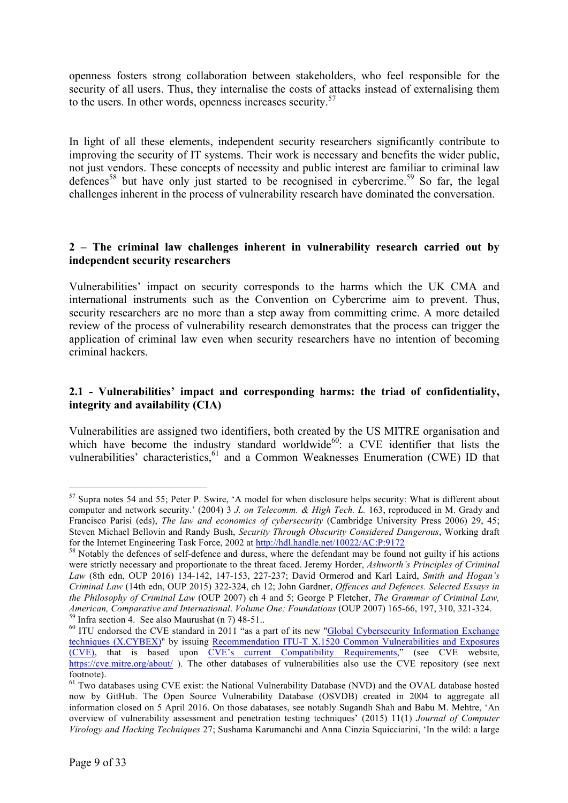openness fosters strong collaboration between stakeholders, who feel responsible for the security of all users. Thus, they internalise the costs of attacks instead of externalising them to the users. In other words, openness increases security.<sup>57</sup>

In light of all these elements, independent security researchers significantly contribute to improving the security of IT systems. Their work is necessary and benefits the wider public, not just vendors. These concepts of necessity and public interest are familiar to criminal law defences<sup>58</sup> but have only just started to be recognised in cybercrime.<sup>59</sup> So far, the legal challenges inherent in the process of vulnerability research have dominated the conversation.

# **2 – The criminal law challenges inherent in vulnerability research carried out by independent security researchers**

Vulnerabilities' impact on security corresponds to the harms which the UK CMA and international instruments such as the Convention on Cybercrime aim to prevent. Thus, security researchers are no more than a step away from committing crime. A more detailed review of the process of vulnerability research demonstrates that the process can trigger the application of criminal law even when security researchers have no intention of becoming criminal hackers.

# **2.1 - Vulnerabilities' impact and corresponding harms: the triad of confidentiality, integrity and availability (CIA)**

Vulnerabilities are assigned two identifiers, both created by the US MITRE organisation and which have become the industry standard worldwide<sup>60</sup>: a CVE identifier that lists the vulnerabilities' characteristics, <sup>61</sup> and a Common Weaknesses Enumeration (CWE) ID that

 <sup>57</sup> Supra notes 54 and 55; Peter P. Swire, 'A model for when disclosure helps security: What is different about computer and network security.' (2004) 3 *J. on Telecomm. & High Tech. L.* 163, reproduced in M. Grady and Francisco Parisi (eds), *The law and economics of cybersecurity* (Cambridge University Press 2006) 29, 45; Steven Michael Bellovin and Randy Bush, *Security Through Obscurity Considered Dangerous*, Working draft for the Internet Engineering Task Force, 2002 at  $\frac{http://hdl.handle.net/10022/AC:P:9172}{http://hdl.handle.net/10022/AC:P:9172}$ <br><sup>58</sup> Notably the defences of self-defence and duress, where the defendant may be found not guilty if his actions

were strictly necessary and proportionate to the threat faced. Jeremy Horder, *Ashworth's Principles of Criminal Law* (8th edn, OUP 2016) 134-142, 147-153, 227-237; David Ormerod and Karl Laird, *Smith and Hogan's Criminal Law* (14th edn, OUP 2015) 322-324, ch 12; John Gardner, *Offences and Defences. Selected Essays in the Philosophy of Criminal Law* (OUP 2007) ch 4 and 5; George P Fletcher, *The Grammar of Criminal Law, American, Comparative and International. Volume One: Foundations* (OUP 2007) 165-66, 197, 310, 321-324.<br><sup>59</sup> Infra section 4. See also Maurushat (n 7) 48-51..<br><sup>60</sup> ITU endorsed the CVE standard in 2011 "as a part of its

techniques (X.CYBEX)" by issuing Recommendation ITU-T X.1520 Common Vulnerabilities and Exposures (CVE), that is based upon CVE's current Compatibility Requirements," (see CVE website, https://cve.mitre.org/about/). The other databases of vulnerabilities also use the CVE repository (see next footnote).

<sup>&</sup>lt;sup>61</sup> Two databases using CVE exist: the National Vulnerability Database (NVD) and the OVAL database hosted now by GitHub. The Open Source Vulnerability Database (OSVDB) created in 2004 to aggregate all information closed on 5 April 2016. On those dabatases, see notably Sugandh Shah and Babu M. Mehtre, 'An overview of vulnerability assessment and penetration testing techniques' (2015) 11(1) *Journal of Computer Virology and Hacking Techniques* 27; Sushama Karumanchi and Anna Cinzia Squicciarini, 'In the wild: a large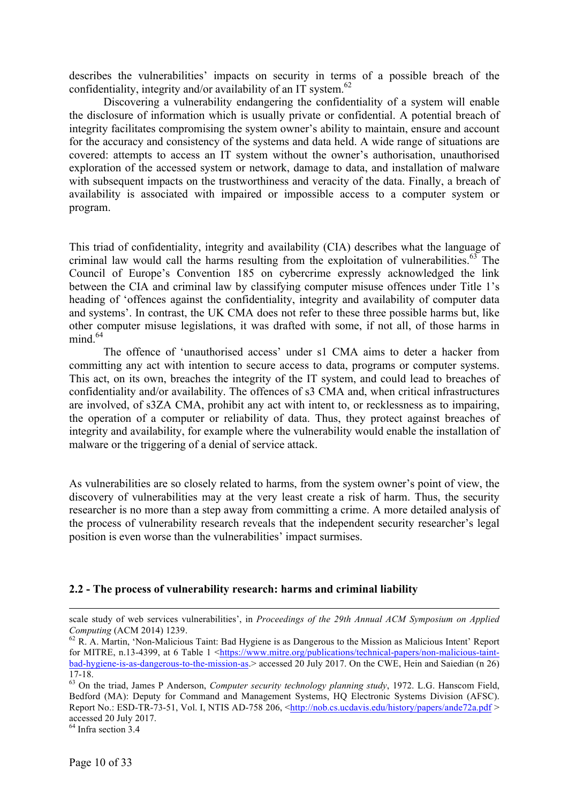describes the vulnerabilities' impacts on security in terms of a possible breach of the confidentiality, integrity and/or availability of an IT system.<sup>62</sup>

Discovering a vulnerability endangering the confidentiality of a system will enable the disclosure of information which is usually private or confidential. A potential breach of integrity facilitates compromising the system owner's ability to maintain, ensure and account for the accuracy and consistency of the systems and data held. A wide range of situations are covered: attempts to access an IT system without the owner's authorisation, unauthorised exploration of the accessed system or network, damage to data, and installation of malware with subsequent impacts on the trustworthiness and veracity of the data. Finally, a breach of availability is associated with impaired or impossible access to a computer system or program.

This triad of confidentiality, integrity and availability (CIA) describes what the language of criminal law would call the harms resulting from the exploitation of vulnerabilities. $63$  The Council of Europe's Convention 185 on cybercrime expressly acknowledged the link between the CIA and criminal law by classifying computer misuse offences under Title 1's heading of 'offences against the confidentiality, integrity and availability of computer data and systems'. In contrast, the UK CMA does not refer to these three possible harms but, like other computer misuse legislations, it was drafted with some, if not all, of those harms in mind. 64

The offence of 'unauthorised access' under s1 CMA aims to deter a hacker from committing any act with intention to secure access to data, programs or computer systems. This act, on its own, breaches the integrity of the IT system, and could lead to breaches of confidentiality and/or availability. The offences of s3 CMA and, when critical infrastructures are involved, of s3ZA CMA, prohibit any act with intent to, or recklessness as to impairing, the operation of a computer or reliability of data. Thus, they protect against breaches of integrity and availability, for example where the vulnerability would enable the installation of malware or the triggering of a denial of service attack.

As vulnerabilities are so closely related to harms, from the system owner's point of view, the discovery of vulnerabilities may at the very least create a risk of harm. Thus, the security researcher is no more than a step away from committing a crime. A more detailed analysis of the process of vulnerability research reveals that the independent security researcher's legal position is even worse than the vulnerabilities' impact surmises.

### **2.2 - The process of vulnerability research: harms and criminal liability**

scale study of web services vulnerabilities', in *Proceedings of the 29th Annual ACM Symposium on Applied* 

<sup>&</sup>lt;sup>62</sup> R. A. Martin, 'Non-Malicious Taint: Bad Hygiene is as Dangerous to the Mission as Malicious Intent' Report for MITRE, n.13-4399, at 6 Table 1 <https://www.mitre.org/publications/technical-papers/non-malicious-taintbad-hygiene-is-as-dangerous-to-the-mission-as.> accessed 20 July 2017. On the CWE, Hein and Saiedian (n 26)

<sup>17-18.</sup> <sup>63</sup> On the triad, James P Anderson, *Computer security technology planning study*, 1972. L.G. Hanscom Field, Bedford (MA): Deputy for Command and Management Systems, HO Electronic Systems Division (AFSC). Report No.: ESD-TR-73-51, Vol. I, NTIS AD-758 206, <http://nob.cs.ucdavis.edu/history/papers/ande72a.pdf > accessed 20 July 2017.

 $64$  Infra section 3.4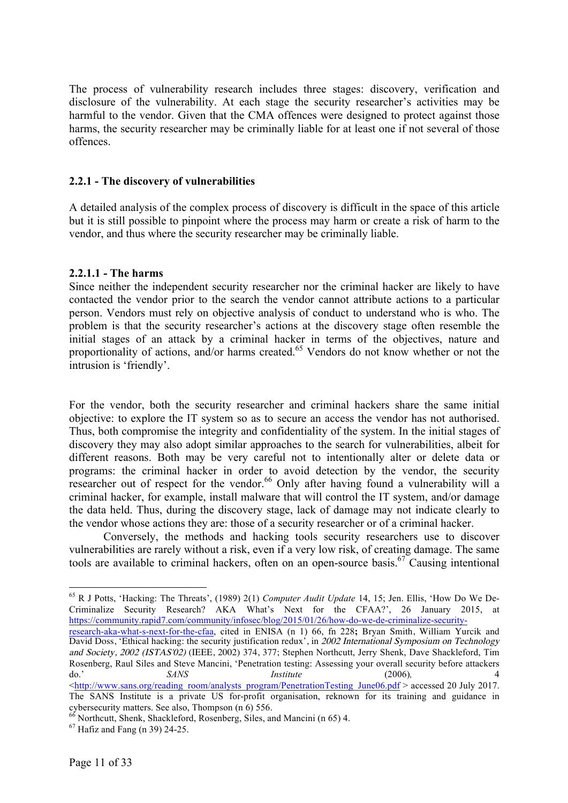The process of vulnerability research includes three stages: discovery, verification and disclosure of the vulnerability. At each stage the security researcher's activities may be harmful to the vendor. Given that the CMA offences were designed to protect against those harms, the security researcher may be criminally liable for at least one if not several of those offences.

# **2.2.1 - The discovery of vulnerabilities**

A detailed analysis of the complex process of discovery is difficult in the space of this article but it is still possible to pinpoint where the process may harm or create a risk of harm to the vendor, and thus where the security researcher may be criminally liable.

# **2.2.1.1 - The harms**

Since neither the independent security researcher nor the criminal hacker are likely to have contacted the vendor prior to the search the vendor cannot attribute actions to a particular person. Vendors must rely on objective analysis of conduct to understand who is who. The problem is that the security researcher's actions at the discovery stage often resemble the initial stages of an attack by a criminal hacker in terms of the objectives, nature and proportionality of actions, and/or harms created.<sup>65</sup> Vendors do not know whether or not the intrusion is 'friendly'.

For the vendor, both the security researcher and criminal hackers share the same initial objective: to explore the IT system so as to secure an access the vendor has not authorised. Thus, both compromise the integrity and confidentiality of the system. In the initial stages of discovery they may also adopt similar approaches to the search for vulnerabilities, albeit for different reasons. Both may be very careful not to intentionally alter or delete data or programs: the criminal hacker in order to avoid detection by the vendor, the security researcher out of respect for the vendor.<sup>66</sup> Only after having found a vulnerability will a criminal hacker, for example, install malware that will control the IT system, and/or damage the data held. Thus, during the discovery stage, lack of damage may not indicate clearly to the vendor whose actions they are: those of a security researcher or of a criminal hacker.

Conversely, the methods and hacking tools security researchers use to discover vulnerabilities are rarely without a risk, even if a very low risk, of creating damage. The same tools are available to criminal hackers, often on an open-source basis.<sup>67</sup> Causing intentional

research-aka-what-s-next-for-the-cfaa, cited in ENISA (n 1) 66, fn 228**;** Bryan Smith, William Yurcik and David Doss, 'Ethical hacking: the security justification redux', in 2002 International Symposium on Technology and Society, 2002 (ISTAS'02) (IEEE, 2002) 374, 377; Stephen Northcutt, Jerry Shenk, Dave Shackleford, Tim Rosenberg, Raul Siles and Steve Mancini, 'Penetration testing: Assessing your overall security before attackers do.' *SANS Institute* (2006)*,* 4  $\text{6.}$   $\text{6.}$   $\text{6.}$   $\text{6.}$   $\text{6.}$   $\text{6.}$   $\text{6.}$   $\text{6.}$   $\text{6.}$   $\text{6.}$   $\text{6.}$   $\text{6.}$   $\text{6.}$   $\text{6.}$   $\text{6.}$   $\text{6.}$   $\text{6.}$   $\text{6.}$   $\text{6.}$   $\text{6.}$   $\text{6.}$   $\text{6.}$   $\text{6.}$   $\text{6.}$   $\text{6$ 

 <sup>65</sup> R J Potts, 'Hacking: The Threats', (1989) 2(1) *Computer Audit Update* 14, 15; Jen. Ellis, 'How Do We De-Criminalize Security Research? AKA What's Next for the CFAA?', 26 January 2015, at https://community.rapid7.com/community/infosec/blog/2015/01/26/how-do-we-de-criminalize-security-

The SANS Institute is a private US for-profit organisation, reknown for its training and guidance in cybersecurity matters. See also, Thompson  $(n 6)$  556.

 $66$  Northcutt, Shenk, Shackleford, Rosenberg, Siles, and Mancini (n 65) 4.  $67$  Hafiz and Fang (n 39) 24-25.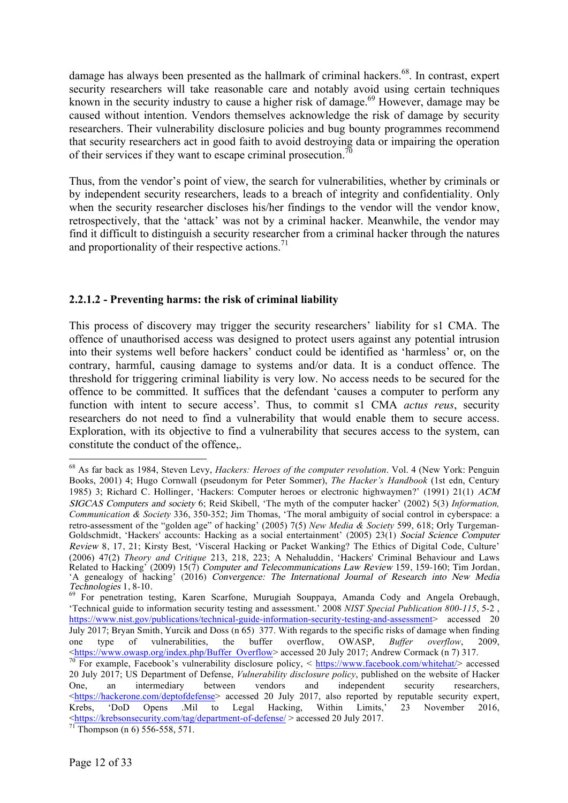damage has always been presented as the hallmark of criminal hackers.<sup>68</sup>. In contrast, expert security researchers will take reasonable care and notably avoid using certain techniques known in the security industry to cause a higher risk of damage.<sup>69</sup> However, damage may be caused without intention. Vendors themselves acknowledge the risk of damage by security researchers. Their vulnerability disclosure policies and bug bounty programmes recommend that security researchers act in good faith to avoid destroying data or impairing the operation of their services if they want to escape criminal prosecution.<sup>70</sup>

Thus, from the vendor's point of view, the search for vulnerabilities, whether by criminals or by independent security researchers, leads to a breach of integrity and confidentiality. Only when the security researcher discloses his/her findings to the vendor will the vendor know, retrospectively, that the 'attack' was not by a criminal hacker. Meanwhile, the vendor may find it difficult to distinguish a security researcher from a criminal hacker through the natures and proportionality of their respective actions.<sup>71</sup>

# **2.2.1.2 - Preventing harms: the risk of criminal liability**

This process of discovery may trigger the security researchers' liability for s1 CMA. The offence of unauthorised access was designed to protect users against any potential intrusion into their systems well before hackers' conduct could be identified as 'harmless' or, on the contrary, harmful, causing damage to systems and/or data. It is a conduct offence. The threshold for triggering criminal liability is very low. No access needs to be secured for the offence to be committed. It suffices that the defendant 'causes a computer to perform any function with intent to secure access'. Thus, to commit s1 CMA *actus reus*, security researchers do not need to find a vulnerability that would enable them to secure access. Exploration, with its objective to find a vulnerability that secures access to the system, can constitute the conduct of the offence,.

 <sup>68</sup> As far back as 1984, Steven Levy, *Hackers: Heroes of the computer revolution*. Vol. 4 (New York: Penguin Books, 2001) 4; Hugo Cornwall (pseudonym for Peter Sommer), *The Hacker's Handbook* (1st edn, Century 1985) 3; Richard C. Hollinger, 'Hackers: Computer heroes or electronic highwaymen?' (1991) 21(1) ACM SIGCAS Computers and society 6; Reid Skibell, 'The myth of the computer hacker' (2002) 5(3) *Information, Communication & Society* 336, 350-352; Jim Thomas, 'The moral ambiguity of social control in cyberspace: a retro-assessment of the "golden age" of hacking' (2005) 7(5) *New Media & Society* 599, 618; Orly Turgeman-Goldschmidt, 'Hackers' accounts: Hacking as a social entertainment' (2005) 23(1) Social Science Computer Review 8, 17, 21; Kirsty Best, 'Visceral Hacking or Packet Wanking? The Ethics of Digital Code, Culture' (2006) 47(2) *Theory and Critique* 213, 218, 223; A Nehaluddin, 'Hackers' Criminal Behaviour and Laws Related to Hacking' (2009) 15(7) Computer and Telecommunications Law Review 159, 159-160; Tim Jordan, 'A genealogy of hacking' (2016) Convergence: The International Journal of Research into New Media<br>Technologies 1, 8-10.

<sup>&</sup>lt;sup>69</sup> For penetration testing, Karen Scarfone, Murugiah Souppaya, Amanda Cody and Angela Orebaugh, 'Technical guide to information security testing and assessment.' 2008 *NIST Special Publication 800-115*, 5-2 , https://www.nist.gov/publications/technical-guide-information-security-testing-and-assessment> accessed 20 July 2017; Bryan Smith, Yurcik and Doss (n 65) 377. With regards to the specific risks of damage when finding one type of vulnerabilities, the buffer overflow, OWASP, *Buffer overflow*, 2009, one type of vulnerabilities, the buffer overflow, OWASP, *Buffer overflow*, 2009, <br>
<https://www.owasp.org/index.php/Buffer Overflow> accessed 20 July 2017; Andrew Cormack (n 7) 317.

<sup>&</sup>lt;sup>70</sup> For example, Facebook's vulnerability disclosure policy, < https://www.facebook.com/whitehat/> accessed 20 July 2017; US Department of Defense, *Vulnerability disclosure policy*, published on the website of Hacker One, an intermediary between vendors and independent security researchers, <https://hackerone.com/deptofdefense> accessed 20 July 2017, also reported by reputable security expert, Krebs, 'DoD Opens .Mil to Legal Hacking, Within Limits,' 23 November 2016, <https://krebsonsecurity.com/tag/department-of-defense/ > accessed 20 July 2017. <sup>71</sup> Thompson (n 6) 556-558, 571.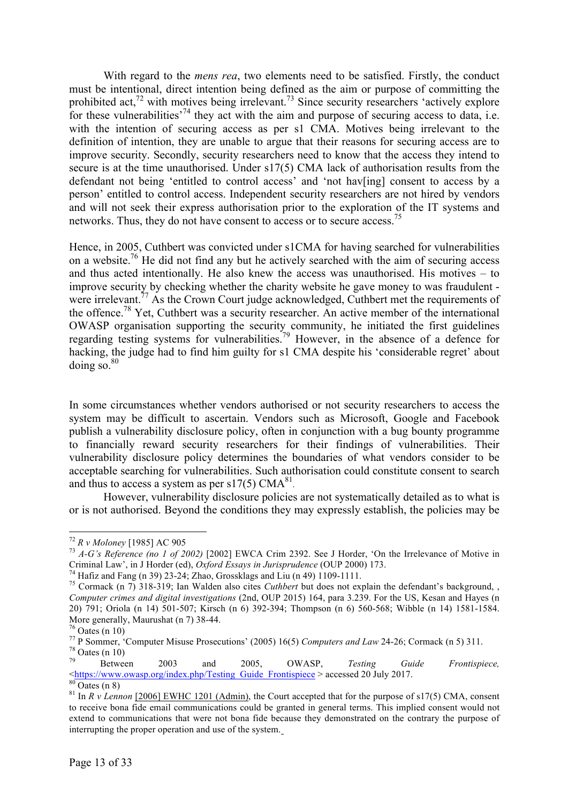With regard to the *mens rea*, two elements need to be satisfied. Firstly, the conduct must be intentional, direct intention being defined as the aim or purpose of committing the prohibited act,<sup>72</sup> with motives being irrelevant.<sup>73</sup> Since security researchers 'actively explore for these vulnerabilities<sup> $74$ </sup> they act with the aim and purpose of securing access to data, i.e. with the intention of securing access as per s1 CMA. Motives being irrelevant to the definition of intention, they are unable to argue that their reasons for securing access are to improve security. Secondly, security researchers need to know that the access they intend to secure is at the time unauthorised. Under s17(5) CMA lack of authorisation results from the defendant not being 'entitled to control access' and 'not hav[ing] consent to access by a person' entitled to control access. Independent security researchers are not hired by vendors and will not seek their express authorisation prior to the exploration of the IT systems and networks. Thus, they do not have consent to access or to secure access.<sup>75</sup>

Hence, in 2005, Cuthbert was convicted under s1CMA for having searched for vulnerabilities on a website.<sup>76</sup> He did not find any but he actively searched with the aim of securing access and thus acted intentionally. He also knew the access was unauthorised. His motives – to improve security by checking whether the charity website he gave money to was fraudulent were irrelevant.<sup>77</sup> As the Crown Court judge acknowledged, Cuthbert met the requirements of the offence.<sup>78</sup> Yet, Cuthbert was a security researcher. An active member of the international OWASP organisation supporting the security community, he initiated the first guidelines regarding testing systems for vulnerabilities.<sup>79</sup> However, in the absence of a defence for hacking, the judge had to find him guilty for s1 CMA despite his 'considerable regret' about doing so. $80$ 

In some circumstances whether vendors authorised or not security researchers to access the system may be difficult to ascertain. Vendors such as Microsoft, Google and Facebook publish a vulnerability disclosure policy, often in conjunction with a bug bounty programme to financially reward security researchers for their findings of vulnerabilities. Their vulnerability disclosure policy determines the boundaries of what vendors consider to be acceptable searching for vulnerabilities. Such authorisation could constitute consent to search and thus to access a system as per  $s17(5)$  CMA<sup>81</sup>.

However, vulnerability disclosure policies are not systematically detailed as to what is or is not authorised. Beyond the conditions they may expressly establish, the policies may be

<sup>72</sup> *R v Moloney* [1985] AC 905 <sup>73</sup> *A-G's Reference (no 1 of 2002)* [2002] EWCA Crim 2392. See J Horder, 'On the Irrelevance of Motive in Criminal Law', in J Horder (ed), *Oxford Essays in Jurisprudence* (OUP 2000) 173.<br><sup>74</sup> Hafiz and Fang (n 39) 23-24; Zhao, Grossklags and Liu (n 49) 1109-1111.<br><sup>75</sup> Cormack (n 7) 318-319; Ian Walden also cites *Cuthbert* bu

*Computer crimes and digital investigations* (2nd, OUP 2015) 164, para 3.239. For the US, Kesan and Hayes (n 20) 791; Oriola (n 14) 501-507; Kirsch (n 6) 392-394; Thompson (n 6) 560-568; Wibble (n 14) 1581-1584.

More generally, Maurushat (n 7) 38-44.<br>
<sup>76</sup> Oates (n 10)<br>
<sup>77</sup> P Sommer, 'Computer Misuse Prosecutions' (2005) 16(5) Computers and Law 24-26; Cormack (n 5) 311.<br>
<sup>78</sup> Oates (n 10)<br>
<sup>79</sup> Oates (n 10)<br>
Between 2003 and 200

<sup>&</sup>lt;https://www.owasp.org/index.php/Testing\_Guide\_Frontispiece > accessed 20 July 2017. <sup>80</sup> Oates (n 8) <sup>81</sup> In *R v Lennon* [2006] EWHC 1201 (Admin), the Court accepted that for the purpose of s17(5) CMA, consent

to receive bona fide email communications could be granted in general terms. This implied consent would not extend to communications that were not bona fide because they demonstrated on the contrary the purpose of interrupting the proper operation and use of the system.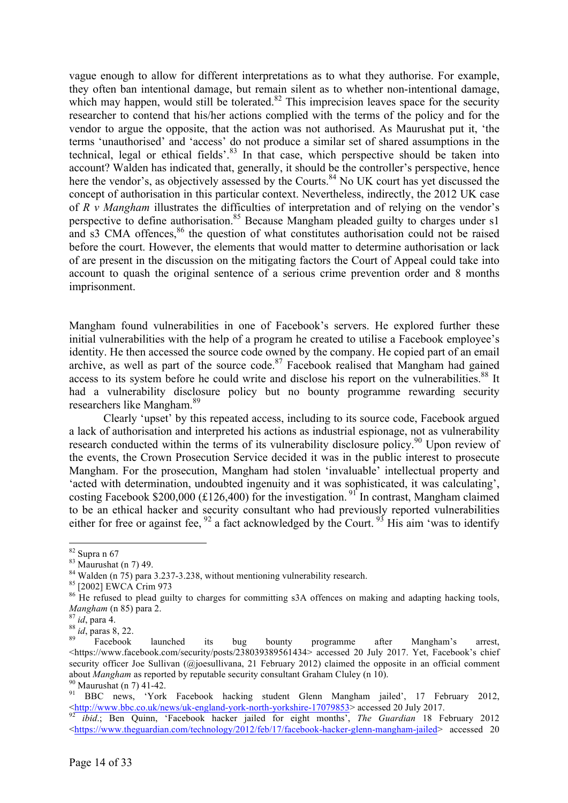vague enough to allow for different interpretations as to what they authorise. For example, they often ban intentional damage, but remain silent as to whether non-intentional damage, which may happen, would still be tolerated.<sup>82</sup> This imprecision leaves space for the security researcher to contend that his/her actions complied with the terms of the policy and for the vendor to argue the opposite, that the action was not authorised. As Maurushat put it, 'the terms 'unauthorised' and 'access' do not produce a similar set of shared assumptions in the technical, legal or ethical fields'.<sup>83</sup> In that case, which perspective should be taken into account? Walden has indicated that, generally, it should be the controller's perspective, hence here the vendor's, as objectively assessed by the Courts.<sup>84</sup> No UK court has yet discussed the concept of authorisation in this particular context. Nevertheless, indirectly, the 2012 UK case of *R v Mangham* illustrates the difficulties of interpretation and of relying on the vendor's perspective to define authorisation.<sup>85</sup> Because Mangham pleaded guilty to charges under s1 and s3 CMA offences,<sup>86</sup> the question of what constitutes authorisation could not be raised before the court. However, the elements that would matter to determine authorisation or lack of are present in the discussion on the mitigating factors the Court of Appeal could take into account to quash the original sentence of a serious crime prevention order and 8 months imprisonment.

Mangham found vulnerabilities in one of Facebook's servers. He explored further these initial vulnerabilities with the help of a program he created to utilise a Facebook employee's identity. He then accessed the source code owned by the company. He copied part of an email archive, as well as part of the source code.<sup>87</sup> Facebook realised that Mangham had gained access to its system before he could write and disclose his report on the vulnerabilities.<sup>88</sup> It had a vulnerability disclosure policy but no bounty programme rewarding security researchers like Mangham. 89

Clearly 'upset' by this repeated access, including to its source code, Facebook argued a lack of authorisation and interpreted his actions as industrial espionage, not as vulnerability research conducted within the terms of its vulnerability disclosure policy.<sup>90</sup> Upon review of the events, the Crown Prosecution Service decided it was in the public interest to prosecute Mangham. For the prosecution, Mangham had stolen 'invaluable' intellectual property and 'acted with determination, undoubted ingenuity and it was sophisticated, it was calculating', costing Facebook \$200,000 (£126,400) for the investigation.<sup>91</sup> In contrast, Mangham claimed to be an ethical hacker and security consultant who had previously reported vulnerabilities either for free or against fee,  $92$  a fact acknowledged by the Court.  $93$  His aim 'was to identify

<sup>&</sup>lt;sup>82</sup> Supra n 67<br><sup>83</sup> Maurushat (n 7) 49.<br><sup>84</sup> Walden (n 75) para 3.237-3.238, without mentioning vulnerability research.<br><sup>85</sup> [2002] EWCA Crim 973<br><sup>86</sup> He refused to plead guilty to charges for committing s3A offences on *Mangham* (n 85) para 2.<br><sup>87</sup> *id*, para 4.<br><sup>88</sup> *id*, paras 8, 22. <br><sup>89</sup> Facebook launched its bug bounty programme after Mangham's arrest,

 $\lt$ https://www.facebook.com/security/posts/238039389561434> accessed 20 July 2017. Yet, Facebook's chief security officer Joe Sullivan (@joesullivana, 21 February 2012) claimed the opposite in an official comment

about *Mangham* as reported by reputable security consultant Graham Cluley (n 10).<br><sup>90</sup> Maurushat (n 7) 41-42.<br><sup>91</sup> BBC news, 'York Facebook hacking student Glenn Mangham jailed', 17 February 2012,<br><http://www.bbc.co.uk/ne

<sup>&</sup>lt;sup>92</sup> *ibid.*; Ben Quinn, 'Facebook hacker jailed for eight months', *The Guardian* 18 February 2012 <https://www.theguardian.com/technology/2012/feb/17/facebook-hacker-glenn-mangham-jailed> accessed 20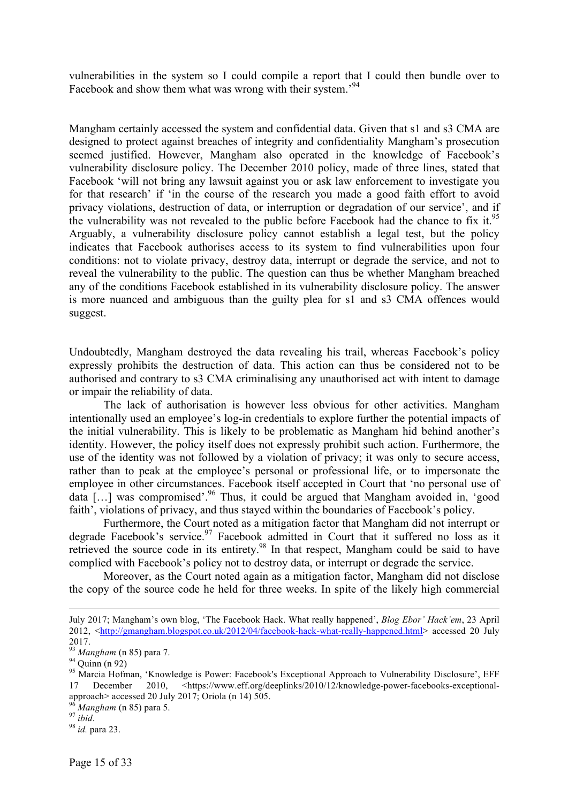vulnerabilities in the system so I could compile a report that I could then bundle over to Facebook and show them what was wrong with their system.<sup>94</sup>

Mangham certainly accessed the system and confidential data. Given that s1 and s3 CMA are designed to protect against breaches of integrity and confidentiality Mangham's prosecution seemed justified. However, Mangham also operated in the knowledge of Facebook's vulnerability disclosure policy. The December 2010 policy, made of three lines, stated that Facebook 'will not bring any lawsuit against you or ask law enforcement to investigate you for that research' if 'in the course of the research you made a good faith effort to avoid privacy violations, destruction of data, or interruption or degradation of our service', and if the vulnerability was not revealed to the public before Facebook had the chance to fix it.<sup>95</sup> Arguably, a vulnerability disclosure policy cannot establish a legal test, but the policy indicates that Facebook authorises access to its system to find vulnerabilities upon four conditions: not to violate privacy, destroy data, interrupt or degrade the service, and not to reveal the vulnerability to the public. The question can thus be whether Mangham breached any of the conditions Facebook established in its vulnerability disclosure policy. The answer is more nuanced and ambiguous than the guilty plea for s1 and s3 CMA offences would suggest.

Undoubtedly, Mangham destroyed the data revealing his trail, whereas Facebook's policy expressly prohibits the destruction of data. This action can thus be considered not to be authorised and contrary to s3 CMA criminalising any unauthorised act with intent to damage or impair the reliability of data.

The lack of authorisation is however less obvious for other activities. Mangham intentionally used an employee's log-in credentials to explore further the potential impacts of the initial vulnerability. This is likely to be problematic as Mangham hid behind another's identity. However, the policy itself does not expressly prohibit such action. Furthermore, the use of the identity was not followed by a violation of privacy; it was only to secure access, rather than to peak at the employee's personal or professional life, or to impersonate the employee in other circumstances. Facebook itself accepted in Court that 'no personal use of data […] was compromised'.96 Thus, it could be argued that Mangham avoided in, 'good faith', violations of privacy, and thus stayed within the boundaries of Facebook's policy.

Furthermore, the Court noted as a mitigation factor that Mangham did not interrupt or degrade Facebook's service.<sup>97</sup> Facebook admitted in Court that it suffered no loss as it retrieved the source code in its entirety.98 In that respect, Mangham could be said to have complied with Facebook's policy not to destroy data, or interrupt or degrade the service.

Moreover, as the Court noted again as a mitigation factor, Mangham did not disclose the copy of the source code he held for three weeks. In spite of the likely high commercial

 $\overline{a}$ 

July 2017; Mangham's own blog, 'The Facebook Hack. What really happened', *Blog Ebor' Hack'em*, 23 April 2012, <http://gmangham.blogspot.co.uk/2012/04/facebook-hack-what-really-happened.html> accessed 20 July 2017.<br><sup>93</sup> Mangham (n 85) para 7.

<sup>&</sup>lt;sup>94</sup> Quinn (n 92)<br><sup>95</sup> Marcia Hofman, 'Knowledge is Power: Facebook's Exceptional Approach to Vulnerability Disclosure', EFF<br><sup>95</sup> Marcia Hofman, 'Knowledge is Power: Facebook's Exceptional Approach to Vulnerability Disclos 17 December 2010, <https://www.eff.org/deeplinks/2010/12/knowledge-power-facebooks-exceptionalapproach> accessed 20 July 2017; Oriola (n 14) 505.<br><sup>96</sup> *Mangham* (n 85) para 5.<br><sup>97</sup> *ibid.* 98 *id.* para 23.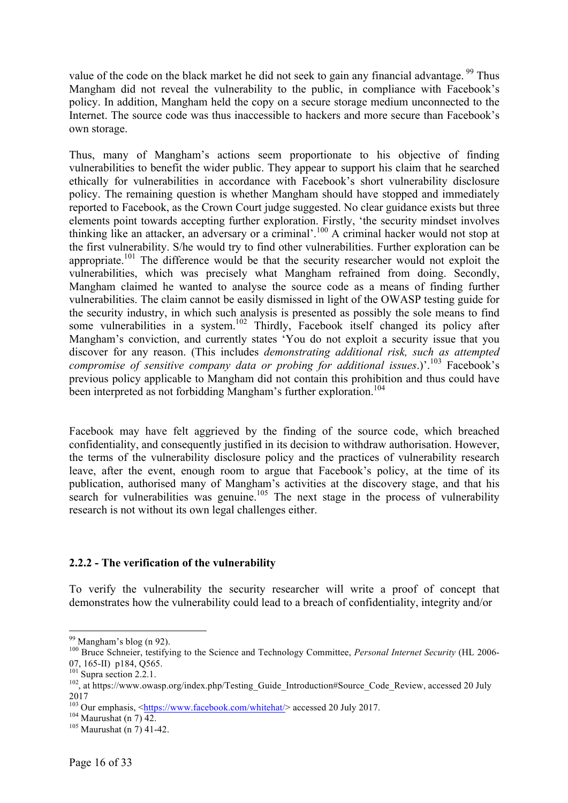value of the code on the black market he did not seek to gain any financial advantage. <sup>99</sup> Thus Mangham did not reveal the vulnerability to the public, in compliance with Facebook's policy. In addition, Mangham held the copy on a secure storage medium unconnected to the Internet. The source code was thus inaccessible to hackers and more secure than Facebook's own storage.

Thus, many of Mangham's actions seem proportionate to his objective of finding vulnerabilities to benefit the wider public. They appear to support his claim that he searched ethically for vulnerabilities in accordance with Facebook's short vulnerability disclosure policy. The remaining question is whether Mangham should have stopped and immediately reported to Facebook, as the Crown Court judge suggested. No clear guidance exists but three elements point towards accepting further exploration. Firstly, 'the security mindset involves thinking like an attacker, an adversary or a criminal'.<sup>100</sup> A criminal hacker would not stop at the first vulnerability. S/he would try to find other vulnerabilities. Further exploration can be appropriate.<sup>101</sup> The difference would be that the security researcher would not exploit the vulnerabilities, which was precisely what Mangham refrained from doing. Secondly, Mangham claimed he wanted to analyse the source code as a means of finding further vulnerabilities. The claim cannot be easily dismissed in light of the OWASP testing guide for the security industry, in which such analysis is presented as possibly the sole means to find some vulnerabilities in a system.<sup>102</sup> Thirdly, Facebook itself changed its policy after Mangham's conviction, and currently states 'You do not exploit a security issue that you discover for any reason. (This includes *demonstrating additional risk, such as attempted compromise of sensitive company data or probing for additional issues.*)'.<sup>103</sup> Facebook's previous policy applicable to Mangham did not contain this prohibition and thus could have been interpreted as not forbidding Mangham's further exploration.<sup>104</sup>

Facebook may have felt aggrieved by the finding of the source code, which breached confidentiality, and consequently justified in its decision to withdraw authorisation. However, the terms of the vulnerability disclosure policy and the practices of vulnerability research leave, after the event, enough room to argue that Facebook's policy, at the time of its publication, authorised many of Mangham's activities at the discovery stage, and that his search for vulnerabilities was genuine.<sup>105</sup> The next stage in the process of vulnerability research is not without its own legal challenges either.

# **2.2.2 - The verification of the vulnerability**

To verify the vulnerability the security researcher will write a proof of concept that demonstrates how the vulnerability could lead to a breach of confidentiality, integrity and/or

<sup>&</sup>lt;sup>99</sup> Mangham's blog (n 92).<br><sup>100</sup> Bruce Schneier, testifying to the Science and Technology Committee, *Personal Internet Security* (HL 2006-<br>07, 165-II) p184, O565.

<sup>&</sup>lt;sup>101</sup> Supra section 2.2.1.<br><sup>102</sup>, at https://www.owasp.org/index.php/Testing\_Guide\_Introduction#Source\_Code\_Review, accessed 20 July 2017

<sup>&</sup>lt;sup>103</sup> Our emphasis,  $\frac{\text{https://www.facebook.com/whitehat/}}{104}$  accessed 20 July 2017.<br><sup>104</sup> Maurushat (n 7) 42.<br><sup>105</sup> Maurushat (n 7) 41-42.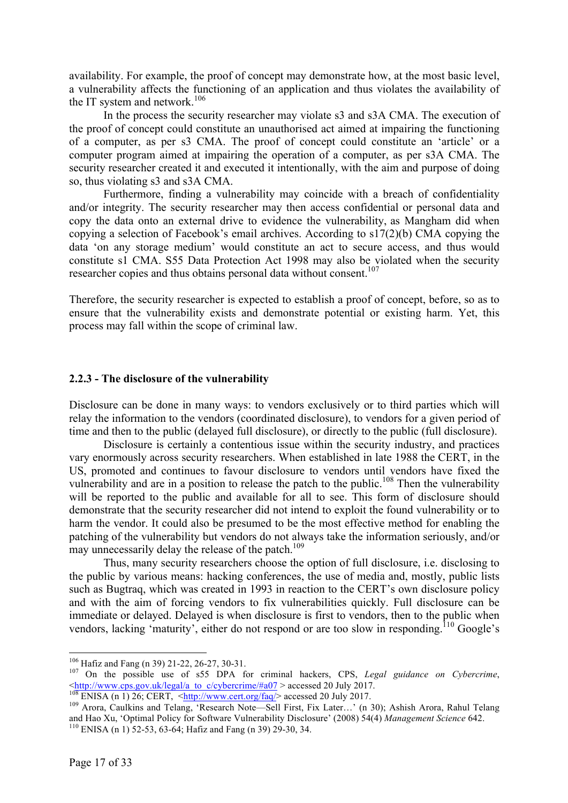availability. For example, the proof of concept may demonstrate how, at the most basic level, a vulnerability affects the functioning of an application and thus violates the availability of the IT system and network. 106

In the process the security researcher may violate s3 and s3A CMA. The execution of the proof of concept could constitute an unauthorised act aimed at impairing the functioning of a computer, as per s3 CMA. The proof of concept could constitute an 'article' or a computer program aimed at impairing the operation of a computer, as per s3A CMA. The security researcher created it and executed it intentionally, with the aim and purpose of doing so, thus violating s3 and s3A CMA.

Furthermore, finding a vulnerability may coincide with a breach of confidentiality and/or integrity. The security researcher may then access confidential or personal data and copy the data onto an external drive to evidence the vulnerability, as Mangham did when copying a selection of Facebook's email archives. According to s17(2)(b) CMA copying the data 'on any storage medium' would constitute an act to secure access, and thus would constitute s1 CMA. S55 Data Protection Act 1998 may also be violated when the security researcher copies and thus obtains personal data without consent.<sup>107</sup>

Therefore, the security researcher is expected to establish a proof of concept, before, so as to ensure that the vulnerability exists and demonstrate potential or existing harm. Yet, this process may fall within the scope of criminal law.

### **2.2.3 - The disclosure of the vulnerability**

Disclosure can be done in many ways: to vendors exclusively or to third parties which will relay the information to the vendors (coordinated disclosure), to vendors for a given period of time and then to the public (delayed full disclosure), or directly to the public (full disclosure).

Disclosure is certainly a contentious issue within the security industry, and practices vary enormously across security researchers. When established in late 1988 the CERT, in the US, promoted and continues to favour disclosure to vendors until vendors have fixed the vulnerability and are in a position to release the patch to the public.<sup>108</sup> Then the vulnerability will be reported to the public and available for all to see. This form of disclosure should demonstrate that the security researcher did not intend to exploit the found vulnerability or to harm the vendor. It could also be presumed to be the most effective method for enabling the patching of the vulnerability but vendors do not always take the information seriously, and/or may unnecessarily delay the release of the patch.<sup>109</sup>

Thus, many security researchers choose the option of full disclosure, i.e. disclosing to the public by various means: hacking conferences, the use of media and, mostly, public lists such as Bugtraq, which was created in 1993 in reaction to the CERT's own disclosure policy and with the aim of forcing vendors to fix vulnerabilities quickly. Full disclosure can be immediate or delayed. Delayed is when disclosure is first to vendors, then to the public when vendors, lacking 'maturity', either do not respond or are too slow in responding.<sup>110</sup> Google's

<sup>&</sup>lt;sup>106</sup> Hafiz and Fang (n 39) 21-22, 26-27, 30-31.<br><sup>107</sup> On the possible use of s55 DPA for criminal hackers, CPS, *Legal guidance on Cybercrime*, <br>
<http://www.cps.gov.uk/legal/a to c/cybercrime/#a07 > accessed 20 July 2017

 $\frac{108}{108}$  ENISA (n 1) 26; CERT,  $\frac{\text{http://www.cps.gov.uk/legaira 10 Uvyoutclinic/mav1}}{108}$  accessed 20 July 2017.<br><sup>108</sup> ENISA (n 1) 26; CERT,  $\frac{\text{http://www.cert.org/faq/>}}{109}$  accessed 20 July 2017. and Hao Xu, 'Optimal Policy for Software Vulnerability Disclosure' (2008) 54(4) *Management Science* 642. <sup>110</sup> ENISA (n 1) 52-53, 63-64; Hafiz and Fang (n 39) 29-30, 34.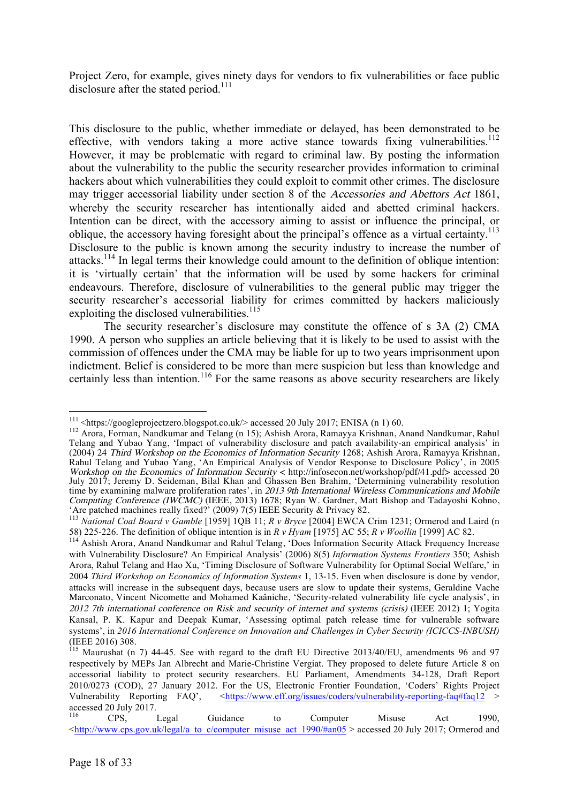Project Zero, for example, gives ninety days for vendors to fix vulnerabilities or face public disclosure after the stated period.<sup>111</sup>

This disclosure to the public, whether immediate or delayed, has been demonstrated to be effective, with vendors taking a more active stance towards fixing vulnerabilities.<sup>112</sup> However, it may be problematic with regard to criminal law. By posting the information about the vulnerability to the public the security researcher provides information to criminal hackers about which vulnerabilities they could exploit to commit other crimes. The disclosure may trigger accessorial liability under section 8 of the Accessories and Abettors Act 1861, whereby the security researcher has intentionally aided and abetted criminal hackers. Intention can be direct, with the accessory aiming to assist or influence the principal, or oblique, the accessory having foresight about the principal's offence as a virtual certainty.<sup>113</sup> Disclosure to the public is known among the security industry to increase the number of attacks.<sup>114</sup> In legal terms their knowledge could amount to the definition of oblique intention: it is 'virtually certain' that the information will be used by some hackers for criminal endeavours. Therefore, disclosure of vulnerabilities to the general public may trigger the security researcher's accessorial liability for crimes committed by hackers maliciously exploiting the disclosed vulnerabilities.<sup>115</sup>

The security researcher's disclosure may constitute the offence of s 3A (2) CMA 1990. A person who supplies an article believing that it is likely to be used to assist with the commission of offences under the CMA may be liable for up to two years imprisonment upon indictment. Belief is considered to be more than mere suspicion but less than knowledge and certainly less than intention.<sup>116</sup> For the same reasons as above security researchers are likely

<sup>&</sup>lt;sup>111</sup> <https://googleprojectzero.blogspot.co.uk/> accessed 20 July 2017; ENISA (n 1) 60.<br><sup>112</sup> Arora, Forman, Nandkumar and Telang (n 15); Ashish Arora, Ramayya Krishnan, Anand Nandkumar, Rahul Telang and Yubao Yang, 'Impact of vulnerability disclosure and patch availability-an empirical analysis' in (2004) 24 Third Workshop on the Economics of Information Security 1268; Ashish Arora, Ramayya Krishnan, Rahul Telang and Yubao Yang, 'An Empirical Analysis of Vendor Response to Disclosure Policy', in 2005 Workshop on the Economics of Information Security < http://infosecon.net/workshop/pdf/41.pdf> accessed 20 July 2017; Jeremy D. Seideman, Bilal Khan and Ghassen Ben Brahim, 'Determining vulnerability resolution time by examining malware proliferation rates', in 2013 9th International Wireless Communications and Mobile Computing Conference (IWCMC) (IEEE, 2013) 1678; Ryan W. Gardner, Matt Bishop and Tadayoshi Kohno,<br>'Are patched machines really fixed?' (2009) 7(5) IEEE Security & Privacy 82.<br><sup>113</sup> National Coal Board v Gamble [1959] 1QB 1

<sup>58) 225-226.</sup> The definition of oblique intention is in *R v Hyam* [1975] AC 55; *R v Woollin* [1999] AC 82.

<sup>&</sup>lt;sup>114</sup> Ashish Arora, Anand Nandkumar and Rahul Telang, 'Does Information Security Attack Frequency Increase with Vulnerability Disclosure? An Empirical Analysis' (2006) 8(5) *Information Systems Frontiers* 350; Ashish Arora, Rahul Telang and Hao Xu, 'Timing Disclosure of Software Vulnerability for Optimal Social Welfare,' in 2004 *Third Workshop on Economics of Information Systems* 1, 13-15. Even when disclosure is done by vendor, attacks will increase in the subsequent days, because users are slow to update their systems, Geraldine Vache Marconato, Vincent Nicomette and Mohamed Kaâniche, 'Security-related vulnerability life cycle analysis', in 2012 7th international conference on Risk and security of internet and systems (crisis) (IEEE 2012) 1; Yogita Kansal, P. K. Kapur and Deepak Kumar, 'Assessing optimal patch release time for vulnerable software systems', in *2016 International Conference on Innovation and Challenges in Cyber Security (ICICCS-INBUSH)* (IEEE 2016) 308.

<sup>115</sup> Maurushat (n 7) 44-45. See with regard to the draft EU Directive 2013/40/EU, amendments 96 and 97 respectively by MEPs Jan Albrecht and Marie-Christine Vergiat. They proposed to delete future Article 8 on accessorial liability to protect security researchers. EU Parliament, Amendments 34-128, Draft Report 2010/0273 (COD), 27 January 2012. For the US, Electronic Frontier Foundation, 'Coders' Rights Project Vulnerability Reporting FAQ', <https://www.eff.org/issues/coders/vulnerability-reporting-faq#faq12 > accessed 20 July 2017.

<sup>&</sup>lt;sup>116</sup> CPS, Legal Guidance to Computer Misuse Act 1990, <http://www.cps.gov.uk/legal/a\_to\_c/computer\_misuse\_act\_1990/#an05 > accessed 20 July 2017; Ormerod and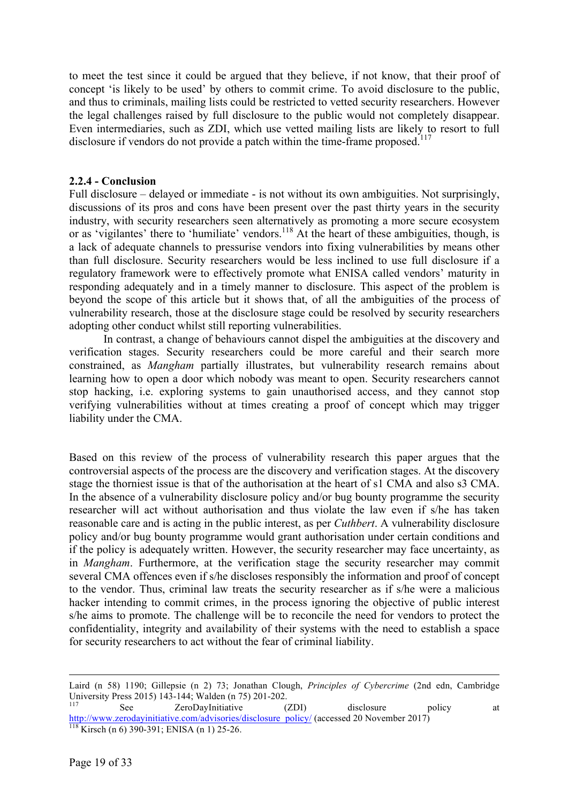to meet the test since it could be argued that they believe, if not know, that their proof of concept 'is likely to be used' by others to commit crime. To avoid disclosure to the public, and thus to criminals, mailing lists could be restricted to vetted security researchers. However the legal challenges raised by full disclosure to the public would not completely disappear. Even intermediaries, such as ZDI, which use vetted mailing lists are likely to resort to full disclosure if vendors do not provide a patch within the time-frame proposed.<sup>117</sup>

### **2.2.4 - Conclusion**

Full disclosure – delayed or immediate - is not without its own ambiguities. Not surprisingly, discussions of its pros and cons have been present over the past thirty years in the security industry, with security researchers seen alternatively as promoting a more secure ecosystem or as 'vigilantes' there to 'humiliate' vendors.<sup>118</sup> At the heart of these ambiguities, though, is a lack of adequate channels to pressurise vendors into fixing vulnerabilities by means other than full disclosure. Security researchers would be less inclined to use full disclosure if a regulatory framework were to effectively promote what ENISA called vendors' maturity in responding adequately and in a timely manner to disclosure. This aspect of the problem is beyond the scope of this article but it shows that, of all the ambiguities of the process of vulnerability research, those at the disclosure stage could be resolved by security researchers adopting other conduct whilst still reporting vulnerabilities.

In contrast, a change of behaviours cannot dispel the ambiguities at the discovery and verification stages. Security researchers could be more careful and their search more constrained, as *Mangham* partially illustrates, but vulnerability research remains about learning how to open a door which nobody was meant to open. Security researchers cannot stop hacking, i.e. exploring systems to gain unauthorised access, and they cannot stop verifying vulnerabilities without at times creating a proof of concept which may trigger liability under the CMA.

Based on this review of the process of vulnerability research this paper argues that the controversial aspects of the process are the discovery and verification stages. At the discovery stage the thorniest issue is that of the authorisation at the heart of s1 CMA and also s3 CMA. In the absence of a vulnerability disclosure policy and/or bug bounty programme the security researcher will act without authorisation and thus violate the law even if s/he has taken reasonable care and is acting in the public interest, as per *Cuthbert*. A vulnerability disclosure policy and/or bug bounty programme would grant authorisation under certain conditions and if the policy is adequately written. However, the security researcher may face uncertainty, as in *Mangham*. Furthermore, at the verification stage the security researcher may commit several CMA offences even if s/he discloses responsibly the information and proof of concept to the vendor. Thus, criminal law treats the security researcher as if s/he were a malicious hacker intending to commit crimes, in the process ignoring the objective of public interest s/he aims to promote. The challenge will be to reconcile the need for vendors to protect the confidentiality, integrity and availability of their systems with the need to establish a space for security researchers to act without the fear of criminal liability.

Laird (n 58) 1190; Gillepsie (n 2) 73; Jonathan Clough, *Principles of Cybercrime* (2nd edn, Cambridge University Press 2015) 143-144; Walden (n 75) 201-202.<br>
See ZeroDayInitiative (ZDI) disclosure policy at

http://www.zerodayinitiative.com/advisories/disclosure\_policy/ (accessed 20 November 2017) <sup>118</sup> Kirsch (n 6) 390-391; ENISA (n 1) 25-26.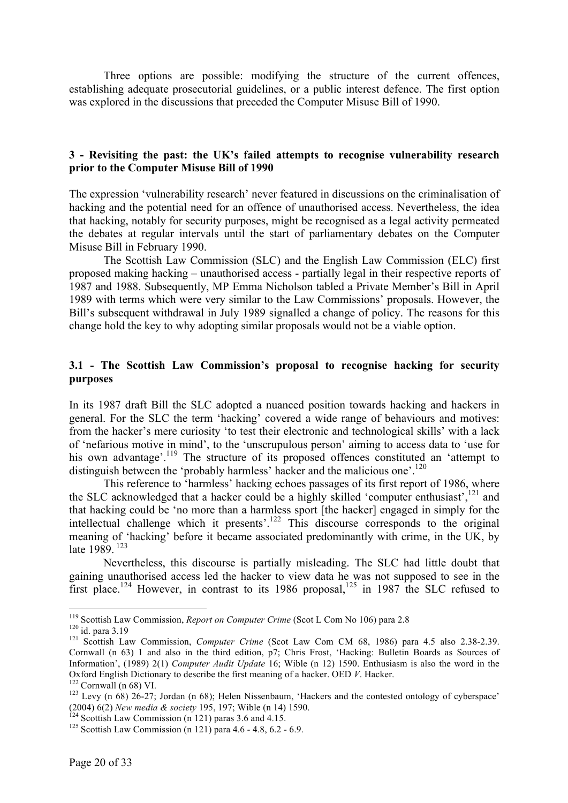Three options are possible: modifying the structure of the current offences, establishing adequate prosecutorial guidelines, or a public interest defence. The first option was explored in the discussions that preceded the Computer Misuse Bill of 1990.

#### **3 - Revisiting the past: the UK's failed attempts to recognise vulnerability research prior to the Computer Misuse Bill of 1990**

The expression 'vulnerability research' never featured in discussions on the criminalisation of hacking and the potential need for an offence of unauthorised access. Nevertheless, the idea that hacking, notably for security purposes, might be recognised as a legal activity permeated the debates at regular intervals until the start of parliamentary debates on the Computer Misuse Bill in February 1990.

The Scottish Law Commission (SLC) and the English Law Commission (ELC) first proposed making hacking – unauthorised access - partially legal in their respective reports of 1987 and 1988. Subsequently, MP Emma Nicholson tabled a Private Member's Bill in April 1989 with terms which were very similar to the Law Commissions' proposals. However, the Bill's subsequent withdrawal in July 1989 signalled a change of policy. The reasons for this change hold the key to why adopting similar proposals would not be a viable option.

# **3.1 - The Scottish Law Commission's proposal to recognise hacking for security purposes**

In its 1987 draft Bill the SLC adopted a nuanced position towards hacking and hackers in general. For the SLC the term 'hacking' covered a wide range of behaviours and motives: from the hacker's mere curiosity 'to test their electronic and technological skills' with a lack of 'nefarious motive in mind', to the 'unscrupulous person' aiming to access data to 'use for his own advantage'.<sup>119</sup> The structure of its proposed offences constituted an 'attempt to distinguish between the 'probably harmless' hacker and the malicious one'.<sup>120</sup>

This reference to 'harmless' hacking echoes passages of its first report of 1986, where the SLC acknowledged that a hacker could be a highly skilled 'computer enthusiast',<sup>121</sup> and that hacking could be 'no more than a harmless sport [the hacker] engaged in simply for the intellectual challenge which it presents'. <sup>122</sup> This discourse corresponds to the original meaning of 'hacking' before it became associated predominantly with crime, in the UK, by late 1989.<sup>123</sup>

Nevertheless, this discourse is partially misleading. The SLC had little doubt that gaining unauthorised access led the hacker to view data he was not supposed to see in the first place.<sup>124</sup> However, in contrast to its 1986 proposal,<sup>125</sup> in 1987 the SLC refused to

<sup>&</sup>lt;sup>119</sup> Scottish Law Commission, *Report on Computer Crime* (Scot L Com No 106) para 2.8<br><sup>120</sup> id. para 3.19<br><sup>121</sup> Scottish Law Commission, *Computer Crime* (Scot Law Com CM 68, 1986) para 4.5 also 2.38-2.39. Cornwall (n 63) 1 and also in the third edition, p7; Chris Frost, 'Hacking: Bulletin Boards as Sources of Information', (1989) 2(1) *Computer Audit Update* 16; Wible (n 12) 1590. Enthusiasm is also the word in the Oxford English Dictionary to describe the first meaning of a hacker. OED *V*. Hacker.<br><sup>122</sup> Cornwall (n 68) VI.<br><sup>123</sup> Levy (n 68) 26-27; Jordan (n 68); Helen Nissenbaum, 'Hackers and the contested ontology of cyberspace'

<sup>(2004) 6(2)</sup> *New media & society* 195, 197; Wible (n 14) 1590.<br><sup>124</sup> Scottish Law Commission (n 121) paras 3.6 and 4.15.<br><sup>125</sup> Scottish Law Commission (n 121) para 4.6 - 4.8, 6.2 - 6.9.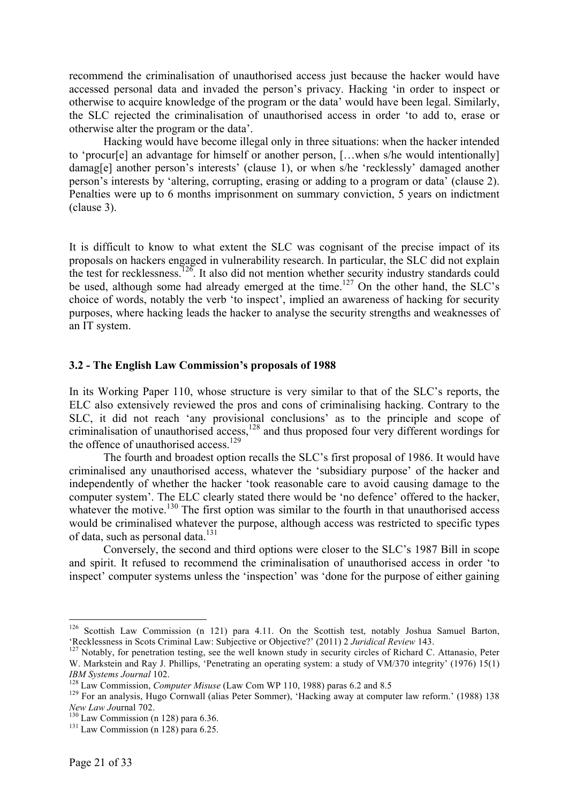recommend the criminalisation of unauthorised access just because the hacker would have accessed personal data and invaded the person's privacy. Hacking 'in order to inspect or otherwise to acquire knowledge of the program or the data' would have been legal. Similarly, the SLC rejected the criminalisation of unauthorised access in order 'to add to, erase or otherwise alter the program or the data'.

Hacking would have become illegal only in three situations: when the hacker intended to 'procur[e] an advantage for himself or another person, [...when s/he would intentionally] damag[e] another person's interests' (clause 1), or when s/he 'recklessly' damaged another person's interests by 'altering, corrupting, erasing or adding to a program or data' (clause 2). Penalties were up to 6 months imprisonment on summary conviction, 5 years on indictment (clause 3).

It is difficult to know to what extent the SLC was cognisant of the precise impact of its proposals on hackers engaged in vulnerability research. In particular, the SLC did not explain the test for recklessness.<sup>126</sup>. It also did not mention whether security industry standards could be used, although some had already emerged at the time.<sup>127</sup> On the other hand, the SLC's choice of words, notably the verb 'to inspect', implied an awareness of hacking for security purposes, where hacking leads the hacker to analyse the security strengths and weaknesses of an IT system.

#### **3.2 - The English Law Commission's proposals of 1988**

In its Working Paper 110, whose structure is very similar to that of the SLC's reports, the ELC also extensively reviewed the pros and cons of criminalising hacking. Contrary to the SLC, it did not reach 'any provisional conclusions' as to the principle and scope of criminalisation of unauthorised access,<sup>128</sup> and thus proposed four very different wordings for the offence of unauthorised access.<sup>129</sup>

The fourth and broadest option recalls the SLC's first proposal of 1986. It would have criminalised any unauthorised access, whatever the 'subsidiary purpose' of the hacker and independently of whether the hacker 'took reasonable care to avoid causing damage to the computer system'. The ELC clearly stated there would be 'no defence' offered to the hacker, whatever the motive.<sup>130</sup> The first option was similar to the fourth in that unauthorised access would be criminalised whatever the purpose, although access was restricted to specific types of data, such as personal data.<sup>131</sup>

Conversely, the second and third options were closer to the SLC's 1987 Bill in scope and spirit. It refused to recommend the criminalisation of unauthorised access in order 'to inspect' computer systems unless the 'inspection' was 'done for the purpose of either gaining

<sup>&</sup>lt;sup>126</sup> Scottish Law Commission (n 121) para 4.11. On the Scottish test, notably Joshua Samuel Barton, 'Recklessness in Scots Criminal Law: Subjective or Objective?' (2011) 2 Juridical Review 143.

<sup>&</sup>lt;sup>127</sup> Notably, for penetration testing, see the well known study in security circles of Richard C. Attanasio, Peter W. Markstein and Ray J. Phillips, 'Penetrating an operating system: a study of VM/370 integrity' (1976) 15(1) *IBM Systems Journal* 102.<br><sup>128</sup> Law Commission, *Computer Misuse* (Law Com WP 110, 1988) paras 6.2 and 8.5 <sup>129</sup> For an analysis, Hugo Cornwall (alias Peter Sommer), 'Hacking away at computer law reform.' (1988) 138

*New Law Journal 702.*<br><sup>130</sup> Law Commission (n 128) para 6.36.<br><sup>131</sup> Law Commission (n 128) para 6.25.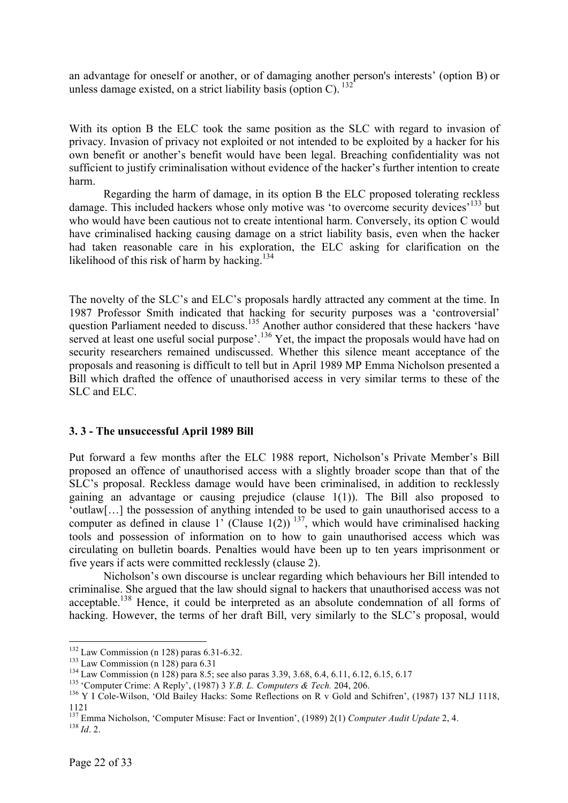an advantage for oneself or another, or of damaging another person's interests' (option B) or unless damage existed, on a strict liability basis (option C).  $^{132}$ 

With its option B the ELC took the same position as the SLC with regard to invasion of privacy. Invasion of privacy not exploited or not intended to be exploited by a hacker for his own benefit or another's benefit would have been legal. Breaching confidentiality was not sufficient to justify criminalisation without evidence of the hacker's further intention to create harm.

Regarding the harm of damage, in its option B the ELC proposed tolerating reckless damage. This included hackers whose only motive was 'to overcome security devices'<sup>133</sup> but who would have been cautious not to create intentional harm. Conversely, its option C would have criminalised hacking causing damage on a strict liability basis, even when the hacker had taken reasonable care in his exploration, the ELC asking for clarification on the likelihood of this risk of harm by hacking.<sup>134</sup>

The novelty of the SLC's and ELC's proposals hardly attracted any comment at the time. In 1987 Professor Smith indicated that hacking for security purposes was a 'controversial' question Parliament needed to discuss.<sup>135</sup> Another author considered that these hackers 'have served at least one useful social purpose'.<sup>136</sup> Yet, the impact the proposals would have had on security researchers remained undiscussed. Whether this silence meant acceptance of the proposals and reasoning is difficult to tell but in April 1989 MP Emma Nicholson presented a Bill which drafted the offence of unauthorised access in very similar terms to these of the SLC and ELC.

#### **3. 3 - The unsuccessful April 1989 Bill**

Put forward a few months after the ELC 1988 report, Nicholson's Private Member's Bill proposed an offence of unauthorised access with a slightly broader scope than that of the SLC's proposal. Reckless damage would have been criminalised, in addition to recklessly gaining an advantage or causing prejudice (clause 1(1)). The Bill also proposed to 'outlaw[…] the possession of anything intended to be used to gain unauthorised access to a computer as defined in clause  $1'$  (Clause  $1(2)$ )<sup>137</sup>, which would have criminalised hacking tools and possession of information on to how to gain unauthorised access which was circulating on bulletin boards. Penalties would have been up to ten years imprisonment or five years if acts were committed recklessly (clause 2).

Nicholson's own discourse is unclear regarding which behaviours her Bill intended to criminalise. She argued that the law should signal to hackers that unauthorised access was not acceptable.138 Hence, it could be interpreted as an absolute condemnation of all forms of hacking. However, the terms of her draft Bill, very similarly to the SLC's proposal, would

<sup>&</sup>lt;sup>132</sup> Law Commission (n 128) paras 6.31-6.32.<br><sup>133</sup> Law Commission (n 128) para 6.31<br><sup>134</sup> Law Commission (n 128) para 8.5; see also paras 3.39, 3.68, 6.4, 6.11, 6.12, 6.15, 6.17<br><sup>134</sup> Computer Crime: A Reply', (1987) 3 1121

<sup>&</sup>lt;sup>137</sup> Emma Nicholson, 'Computer Misuse: Fact or Invention', (1989) 2(1) *Computer Audit Update* 2, 4. <sup>138</sup> *Id.* 2.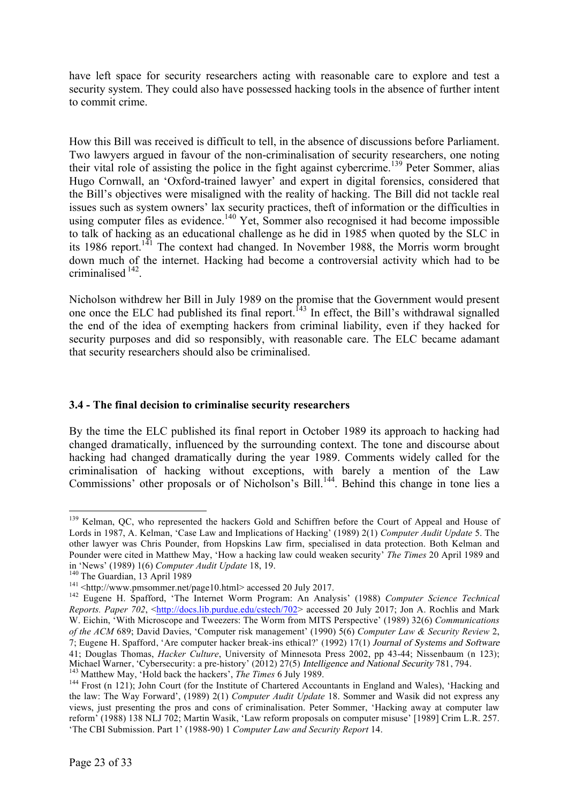have left space for security researchers acting with reasonable care to explore and test a security system. They could also have possessed hacking tools in the absence of further intent to commit crime.

How this Bill was received is difficult to tell, in the absence of discussions before Parliament. Two lawyers argued in favour of the non-criminalisation of security researchers, one noting their vital role of assisting the police in the fight against cybercrime.<sup>139</sup> Peter Sommer, alias Hugo Cornwall, an 'Oxford-trained lawyer' and expert in digital forensics, considered that the Bill's objectives were misaligned with the reality of hacking. The Bill did not tackle real issues such as system owners' lax security practices, theft of information or the difficulties in using computer files as evidence.<sup>140</sup> Yet, Sommer also recognised it had become impossible to talk of hacking as an educational challenge as he did in 1985 when quoted by the SLC in its 1986 report.<sup>141</sup> The context had changed. In November 1988, the Morris worm brought down much of the internet. Hacking had become a controversial activity which had to be criminalised 142.

Nicholson withdrew her Bill in July 1989 on the promise that the Government would present one once the ELC had published its final report.<sup>143</sup> In effect, the Bill's withdrawal signalled the end of the idea of exempting hackers from criminal liability, even if they hacked for security purposes and did so responsibly, with reasonable care. The ELC became adamant that security researchers should also be criminalised.

# **3.4 - The final decision to criminalise security researchers**

By the time the ELC published its final report in October 1989 its approach to hacking had changed dramatically, influenced by the surrounding context. The tone and discourse about hacking had changed dramatically during the year 1989. Comments widely called for the criminalisation of hacking without exceptions, with barely a mention of the Law Commissions' other proposals or of Nicholson's Bill.<sup>144</sup>. Behind this change in tone lies a

<sup>&</sup>lt;sup>139</sup> Kelman, QC, who represented the hackers Gold and Schiffren before the Court of Appeal and House of Lords in 1987, A. Kelman, 'Case Law and Implications of Hacking' (1989) 2(1) *Computer Audit Update* 5. The other lawyer was Chris Pounder, from Hopskins Law firm, specialised in data protection. Both Kelman and Pounder were cited in Matthew May, 'How a hacking law could weaken security' *The Times* 20 April 1989 and in 'News' (1989) 1(6) *Computer Audit Update* 18, 19.

<sup>&</sup>lt;sup>140</sup> The Guardian, 13 April 1989<br><sup>141</sup> <http://www.pmsommer.net/page10.html> accessed 20 July 2017.<br><sup>142</sup> Eugene H. Spafford, 'The Internet Worm Program: An Analysis' (1988) *Computer Science Technical Reports. Paper 702*, <http://docs.lib.purdue.edu/cstech/702> accessed 20 July 2017; Jon A. Rochlis and Mark W. Eichin, 'With Microscope and Tweezers: The Worm from MITS Perspective' (1989) 32(6) *Communications of the ACM* 689; David Davies, 'Computer risk management' (1990) 5(6) *Computer Law & Security Review* 2, 7; Eugene H. Spafford, 'Are computer hacker break-ins ethical?' (1992) 17(1) Journal of Systems and Software 41; Douglas Thomas, *Hacker Culture*, University of Minnesota Press 2002, pp 43-44; Nissenbaum (n 123);

<sup>&</sup>lt;sup>143</sup> Matthew May, 'Hold back the hackers', *The Times* 6 July 1989.<br><sup>144</sup> Frost (n 121); John Court (for the Institute of Chartered Accountants in England and Wales), 'Hacking and the law: The Way Forward', (1989) 2(1) *Computer Audit Update* 18. Sommer and Wasik did not express any views, just presenting the pros and cons of criminalisation. Peter Sommer, 'Hacking away at computer law reform' (1988) 138 NLJ 702; Martin Wasik, 'Law reform proposals on computer misuse' [1989] Crim L.R. 257. 'The CBI Submission. Part 1' (1988-90) 1 *Computer Law and Security Report* 14.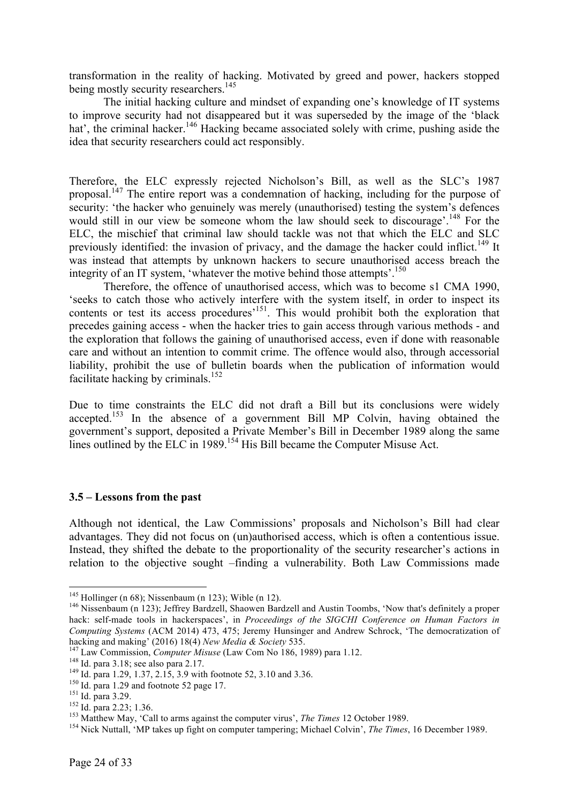transformation in the reality of hacking. Motivated by greed and power, hackers stopped being mostly security researchers.<sup>145</sup>

The initial hacking culture and mindset of expanding one's knowledge of IT systems to improve security had not disappeared but it was superseded by the image of the 'black hat', the criminal hacker.<sup>146</sup> Hacking became associated solely with crime, pushing aside the idea that security researchers could act responsibly.

Therefore, the ELC expressly rejected Nicholson's Bill, as well as the SLC's 1987 proposal.<sup>147</sup> The entire report was a condemnation of hacking, including for the purpose of security: 'the hacker who genuinely was merely (unauthorised) testing the system's defences would still in our view be someone whom the law should seek to discourage'.<sup>148</sup> For the ELC, the mischief that criminal law should tackle was not that which the ELC and SLC previously identified: the invasion of privacy, and the damage the hacker could inflict.<sup>149</sup> It was instead that attempts by unknown hackers to secure unauthorised access breach the integrity of an IT system, 'whatever the motive behind those attempts'.<sup>150</sup>

Therefore, the offence of unauthorised access, which was to become s1 CMA 1990, 'seeks to catch those who actively interfere with the system itself, in order to inspect its contents or test its access procedures<sup>'151</sup>. This would prohibit both the exploration that precedes gaining access - when the hacker tries to gain access through various methods - and the exploration that follows the gaining of unauthorised access, even if done with reasonable care and without an intention to commit crime. The offence would also, through accessorial liability, prohibit the use of bulletin boards when the publication of information would facilitate hacking by criminals.<sup>152</sup>

Due to time constraints the ELC did not draft a Bill but its conclusions were widely accepted.153 In the absence of a government Bill MP Colvin, having obtained the government's support, deposited a Private Member's Bill in December 1989 along the same lines outlined by the ELC in 1989.<sup>154</sup> His Bill became the Computer Misuse Act.

# **3.5 – Lessons from the past**

Although not identical, the Law Commissions' proposals and Nicholson's Bill had clear advantages. They did not focus on (un)authorised access, which is often a contentious issue. Instead, they shifted the debate to the proportionality of the security researcher's actions in relation to the objective sought –finding a vulnerability. Both Law Commissions made

<sup>&</sup>lt;sup>145</sup> Hollinger (n 68); Nissenbaum (n 123); Wible (n 12).<br><sup>146</sup> Nissenbaum (n 123); Jeffrey Bardzell, Shaowen Bardzell and Austin Toombs, 'Now that's definitely a proper hack: self-made tools in hackerspaces', in *Proceedings of the SIGCHI Conference on Human Factors in Computing Systems* (ACM 2014) 473, 475; Jeremy Hunsinger and Andrew Schrock, 'The democratization of

<sup>&</sup>lt;sup>147</sup> Law Commission, *Computer Misuse* (Law Com No 186, 1989) para 1.12.<br><sup>148</sup> Id. para 3.18; see also para 2.17.<br><sup>149</sup> Id. para 1.29, 1.37, 2.15, 3.9 with footnote 52, 3.10 and 3.36.<br><sup>150</sup> Id. para 1.29 and footnote 52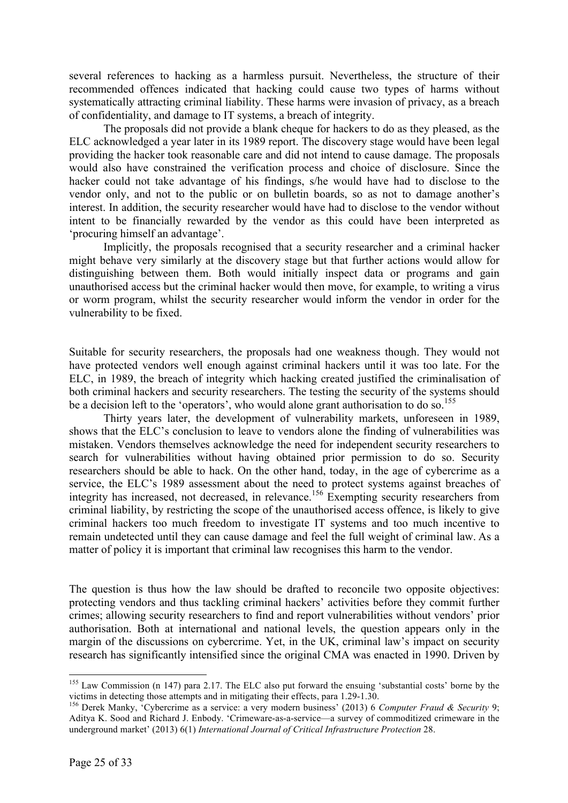several references to hacking as a harmless pursuit. Nevertheless, the structure of their recommended offences indicated that hacking could cause two types of harms without systematically attracting criminal liability. These harms were invasion of privacy, as a breach of confidentiality, and damage to IT systems, a breach of integrity.

The proposals did not provide a blank cheque for hackers to do as they pleased, as the ELC acknowledged a year later in its 1989 report. The discovery stage would have been legal providing the hacker took reasonable care and did not intend to cause damage. The proposals would also have constrained the verification process and choice of disclosure. Since the hacker could not take advantage of his findings, s/he would have had to disclose to the vendor only, and not to the public or on bulletin boards, so as not to damage another's interest. In addition, the security researcher would have had to disclose to the vendor without intent to be financially rewarded by the vendor as this could have been interpreted as 'procuring himself an advantage'.

Implicitly, the proposals recognised that a security researcher and a criminal hacker might behave very similarly at the discovery stage but that further actions would allow for distinguishing between them. Both would initially inspect data or programs and gain unauthorised access but the criminal hacker would then move, for example, to writing a virus or worm program, whilst the security researcher would inform the vendor in order for the vulnerability to be fixed.

Suitable for security researchers, the proposals had one weakness though. They would not have protected vendors well enough against criminal hackers until it was too late. For the ELC, in 1989, the breach of integrity which hacking created justified the criminalisation of both criminal hackers and security researchers. The testing the security of the systems should be a decision left to the 'operators', who would alone grant authorisation to do so.<sup>155</sup>

Thirty years later, the development of vulnerability markets, unforeseen in 1989, shows that the ELC's conclusion to leave to vendors alone the finding of vulnerabilities was mistaken. Vendors themselves acknowledge the need for independent security researchers to search for vulnerabilities without having obtained prior permission to do so. Security researchers should be able to hack. On the other hand, today, in the age of cybercrime as a service, the ELC's 1989 assessment about the need to protect systems against breaches of integrity has increased, not decreased, in relevance.<sup>156</sup> Exempting security researchers from criminal liability, by restricting the scope of the unauthorised access offence, is likely to give criminal hackers too much freedom to investigate IT systems and too much incentive to remain undetected until they can cause damage and feel the full weight of criminal law. As a matter of policy it is important that criminal law recognises this harm to the vendor.

The question is thus how the law should be drafted to reconcile two opposite objectives: protecting vendors and thus tackling criminal hackers' activities before they commit further crimes; allowing security researchers to find and report vulnerabilities without vendors' prior authorisation. Both at international and national levels, the question appears only in the margin of the discussions on cybercrime. Yet, in the UK, criminal law's impact on security research has significantly intensified since the original CMA was enacted in 1990. Driven by

<sup>&</sup>lt;sup>155</sup> Law Commission (n 147) para 2.17. The ELC also put forward the ensuing 'substantial costs' borne by the victims in detecting those attempts and in mitigating their effects, para 1.29-1.30.

<sup>&</sup>lt;sup>156</sup> Derek Manky, 'Cybercrime as a service: a very modern business' (2013) 6 *Computer Fraud & Security* 9; Aditya K. Sood and Richard J. Enbody. 'Crimeware-as-a-service—a survey of commoditized crimeware in the underground market' (2013) 6(1) *International Journal of Critical Infrastructure Protection* 28.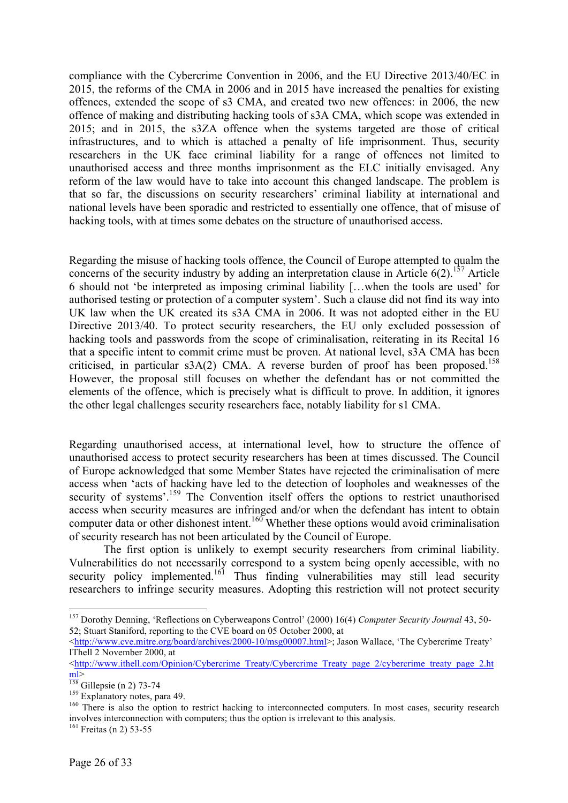compliance with the Cybercrime Convention in 2006, and the EU Directive 2013/40/EC in 2015, the reforms of the CMA in 2006 and in 2015 have increased the penalties for existing offences, extended the scope of s3 CMA, and created two new offences: in 2006, the new offence of making and distributing hacking tools of s3A CMA, which scope was extended in 2015; and in 2015, the s3ZA offence when the systems targeted are those of critical infrastructures, and to which is attached a penalty of life imprisonment. Thus, security researchers in the UK face criminal liability for a range of offences not limited to unauthorised access and three months imprisonment as the ELC initially envisaged. Any reform of the law would have to take into account this changed landscape. The problem is that so far, the discussions on security researchers' criminal liability at international and national levels have been sporadic and restricted to essentially one offence, that of misuse of hacking tools, with at times some debates on the structure of unauthorised access.

Regarding the misuse of hacking tools offence, the Council of Europe attempted to qualm the concerns of the security industry by adding an interpretation clause in Article  $6(2)$ .<sup>157</sup> Article 6 should not 'be interpreted as imposing criminal liability […when the tools are used' for authorised testing or protection of a computer system'. Such a clause did not find its way into UK law when the UK created its s3A CMA in 2006. It was not adopted either in the EU Directive 2013/40. To protect security researchers, the EU only excluded possession of hacking tools and passwords from the scope of criminalisation, reiterating in its Recital 16 that a specific intent to commit crime must be proven. At national level, s3A CMA has been criticised, in particular s3A(2) CMA. A reverse burden of proof has been proposed. 158 However, the proposal still focuses on whether the defendant has or not committed the elements of the offence, which is precisely what is difficult to prove. In addition, it ignores the other legal challenges security researchers face, notably liability for s1 CMA.

Regarding unauthorised access, at international level, how to structure the offence of unauthorised access to protect security researchers has been at times discussed. The Council of Europe acknowledged that some Member States have rejected the criminalisation of mere access when 'acts of hacking have led to the detection of loopholes and weaknesses of the security of systems'.<sup>159</sup> The Convention itself offers the options to restrict unauthorised access when security measures are infringed and/or when the defendant has intent to obtain computer data or other dishonest intent.<sup>160</sup> Whether these options would avoid criminalisation of security research has not been articulated by the Council of Europe.

The first option is unlikely to exempt security researchers from criminal liability. Vulnerabilities do not necessarily correspond to a system being openly accessible, with no security policy implemented.<sup>161</sup> Thus finding vulnerabilities may still lead security researchers to infringe security measures. Adopting this restriction will not protect security

 <sup>157</sup> Dorothy Denning, 'Reflections on Cyberweapons Control' (2000) 16(4) *Computer Security Journal* 43, 50- 52; Stuart Staniford, reporting to the CVE board on 05 October 2000, at

<sup>&</sup>lt;http://www.cve.mitre.org/board/archives/2000-10/msg00007.html>; Jason Wallace, 'The Cybercrime Treaty' IThell 2 November 2000, at

<sup>&</sup>lt;http://www.ithell.com/Opinion/Cybercrime\_Treaty/Cybercrime\_Treaty\_page\_2/cybercrime\_treaty\_page\_2.html><br>  $\frac{\text{ml}}{\text{158}}$  Gillepsie (n 2) 73-74

 $\frac{159}{159}$  Explanatory notes, para 49.  $\frac{159}{160}$  There is also the option to restrict hacking to interconnected computers. In most cases, security research involves interconnection with computers; thus the option is irrelevant to this analysis.

 $161$  Freitas (n 2) 53-55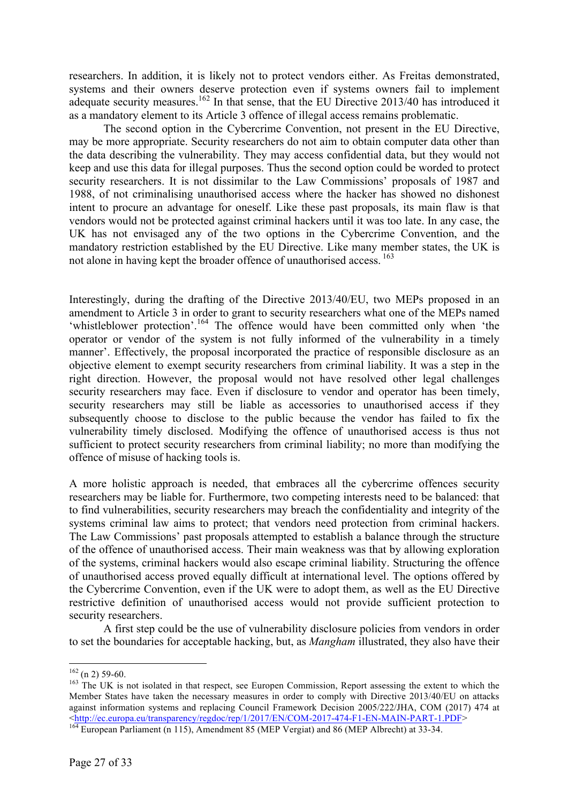researchers. In addition, it is likely not to protect vendors either. As Freitas demonstrated, systems and their owners deserve protection even if systems owners fail to implement adequate security measures.<sup>162</sup> In that sense, that the EU Directive 2013/40 has introduced it as a mandatory element to its Article 3 offence of illegal access remains problematic.

The second option in the Cybercrime Convention, not present in the EU Directive, may be more appropriate. Security researchers do not aim to obtain computer data other than the data describing the vulnerability. They may access confidential data, but they would not keep and use this data for illegal purposes. Thus the second option could be worded to protect security researchers. It is not dissimilar to the Law Commissions' proposals of 1987 and 1988, of not criminalising unauthorised access where the hacker has showed no dishonest intent to procure an advantage for oneself. Like these past proposals, its main flaw is that vendors would not be protected against criminal hackers until it was too late. In any case, the UK has not envisaged any of the two options in the Cybercrime Convention, and the mandatory restriction established by the EU Directive. Like many member states, the UK is not alone in having kept the broader offence of unauthorised access. 163

Interestingly, during the drafting of the Directive 2013/40/EU, two MEPs proposed in an amendment to Article 3 in order to grant to security researchers what one of the MEPs named 'whistleblower protection'.<sup>164</sup> The offence would have been committed only when 'the operator or vendor of the system is not fully informed of the vulnerability in a timely manner'. Effectively, the proposal incorporated the practice of responsible disclosure as an objective element to exempt security researchers from criminal liability. It was a step in the right direction. However, the proposal would not have resolved other legal challenges security researchers may face. Even if disclosure to vendor and operator has been timely, security researchers may still be liable as accessories to unauthorised access if they subsequently choose to disclose to the public because the vendor has failed to fix the vulnerability timely disclosed. Modifying the offence of unauthorised access is thus not sufficient to protect security researchers from criminal liability; no more than modifying the offence of misuse of hacking tools is.

A more holistic approach is needed, that embraces all the cybercrime offences security researchers may be liable for. Furthermore, two competing interests need to be balanced: that to find vulnerabilities, security researchers may breach the confidentiality and integrity of the systems criminal law aims to protect; that vendors need protection from criminal hackers. The Law Commissions' past proposals attempted to establish a balance through the structure of the offence of unauthorised access. Their main weakness was that by allowing exploration of the systems, criminal hackers would also escape criminal liability. Structuring the offence of unauthorised access proved equally difficult at international level. The options offered by the Cybercrime Convention, even if the UK were to adopt them, as well as the EU Directive restrictive definition of unauthorised access would not provide sufficient protection to security researchers.

A first step could be the use of vulnerability disclosure policies from vendors in order to set the boundaries for acceptable hacking, but, as *Mangham* illustrated, they also have their

 $\frac{162}{163}$  (n 2) 59-60.<br><sup>163</sup> The UK is not isolated in that respect, see Europen Commission, Report assessing the extent to which the Member States have taken the necessary measures in order to comply with Directive 2013/40/EU on attacks against information systems and replacing Council Framework Decision 2005/222/JHA, COM (2017) 474 at <http://ec.europa.eu/transparency/regdoc/rep/1/2017/EN/COM-2017-474-F1-EN-MAIN-PART-1.PDF>

 $\frac{164}{164}$  European Parliament (n 115), Amendment 85 (MEP Vergiat) and 86 (MEP Albrecht) at 33-34.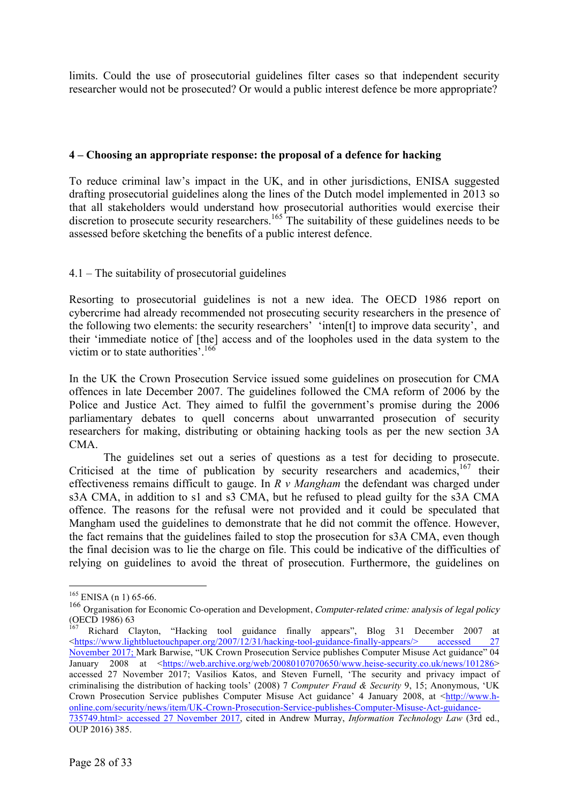limits. Could the use of prosecutorial guidelines filter cases so that independent security researcher would not be prosecuted? Or would a public interest defence be more appropriate?

### **4 – Choosing an appropriate response: the proposal of a defence for hacking**

To reduce criminal law's impact in the UK, and in other jurisdictions, ENISA suggested drafting prosecutorial guidelines along the lines of the Dutch model implemented in 2013 so that all stakeholders would understand how prosecutorial authorities would exercise their discretion to prosecute security researchers.<sup>165</sup> The suitability of these guidelines needs to be assessed before sketching the benefits of a public interest defence.

# 4.1 – The suitability of prosecutorial guidelines

Resorting to prosecutorial guidelines is not a new idea. The OECD 1986 report on cybercrime had already recommended not prosecuting security researchers in the presence of the following two elements: the security researchers' 'inten[t] to improve data security', and their 'immediate notice of [the] access and of the loopholes used in the data system to the victim or to state authorities<sup>5</sup>.<sup>16</sup>

In the UK the Crown Prosecution Service issued some guidelines on prosecution for CMA offences in late December 2007. The guidelines followed the CMA reform of 2006 by the Police and Justice Act. They aimed to fulfil the government's promise during the 2006 parliamentary debates to quell concerns about unwarranted prosecution of security researchers for making, distributing or obtaining hacking tools as per the new section 3A CMA.

The guidelines set out a series of questions as a test for deciding to prosecute. Criticised at the time of publication by security researchers and academics, $167$  their effectiveness remains difficult to gauge. In *R v Mangham* the defendant was charged under s3A CMA, in addition to s1 and s3 CMA, but he refused to plead guilty for the s3A CMA offence. The reasons for the refusal were not provided and it could be speculated that Mangham used the guidelines to demonstrate that he did not commit the offence. However, the fact remains that the guidelines failed to stop the prosecution for s3A CMA, even though the final decision was to lie the charge on file. This could be indicative of the difficulties of relying on guidelines to avoid the threat of prosecution. Furthermore, the guidelines on

 $165$  ENISA (n 1) 65-66.

<sup>&</sup>lt;sup>166</sup> Organisation for Economic Co-operation and Development, Computer-related crime: analysis of legal policy (OECD 1986) 63

<sup>167</sup> Richard Clayton, "Hacking tool guidance finally appears", Blog 31 December 2007 at <https://www.lightbluetouchpaper.org/2007/12/31/hacking-tool-guidance-finally-appears/> accessed 27 November 2017; Mark Barwise, "UK Crown Prosecution Service publishes Computer Misuse Act guidance" 04 January 2008 at <https://web.archive.org/web/20080107070650/www.heise-security.co.uk/news/101286> accessed 27 November 2017; Vasilios Katos, and Steven Furnell, 'The security and privacy impact of criminalising the distribution of hacking tools' (2008) 7 *Computer Fraud & Security* 9, 15; Anonymous, 'UK Crown Prosecution Service publishes Computer Misuse Act guidance' 4 January 2008, at <http://www.honline.com/security/news/item/UK-Crown-Prosecution-Service-publishes-Computer-Misuse-Act-guidance-735749.html> accessed 27 November 2017, cited in Andrew Murray, *Information Technology Law* (3rd ed., OUP 2016) 385.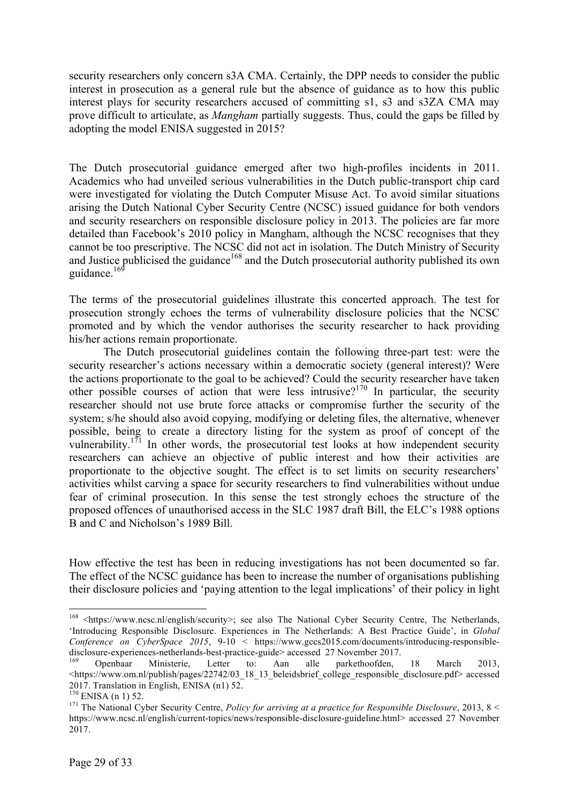security researchers only concern s3A CMA. Certainly, the DPP needs to consider the public interest in prosecution as a general rule but the absence of guidance as to how this public interest plays for security researchers accused of committing s1, s3 and s3ZA CMA may prove difficult to articulate, as *Mangham* partially suggests. Thus, could the gaps be filled by adopting the model ENISA suggested in 2015?

The Dutch prosecutorial guidance emerged after two high-profiles incidents in 2011. Academics who had unveiled serious vulnerabilities in the Dutch public-transport chip card were investigated for violating the Dutch Computer Misuse Act. To avoid similar situations arising the Dutch National Cyber Security Centre (NCSC) issued guidance for both vendors and security researchers on responsible disclosure policy in 2013. The policies are far more detailed than Facebook's 2010 policy in Mangham, although the NCSC recognises that they cannot be too prescriptive. The NCSC did not act in isolation. The Dutch Ministry of Security and Justice publicised the guidance<sup>168</sup> and the Dutch prosecutorial authority published its own guidance.<sup>169</sup>

The terms of the prosecutorial guidelines illustrate this concerted approach. The test for prosecution strongly echoes the terms of vulnerability disclosure policies that the NCSC promoted and by which the vendor authorises the security researcher to hack providing his/her actions remain proportionate.

The Dutch prosecutorial guidelines contain the following three-part test: were the security researcher's actions necessary within a democratic society (general interest)? Were the actions proportionate to the goal to be achieved? Could the security researcher have taken other possible courses of action that were less intrusive?<sup>170</sup> In particular, the security researcher should not use brute force attacks or compromise further the security of the system; s/he should also avoid copying, modifying or deleting files, the alternative, whenever possible, being to create a directory listing for the system as proof of concept of the vulnerability.<sup>171</sup> In other words, the prosecutorial test looks at how independent security researchers can achieve an objective of public interest and how their activities are proportionate to the objective sought. The effect is to set limits on security researchers' activities whilst carving a space for security researchers to find vulnerabilities without undue fear of criminal prosecution. In this sense the test strongly echoes the structure of the proposed offences of unauthorised access in the SLC 1987 draft Bill, the ELC's 1988 options B and C and Nicholson's 1989 Bill.

How effective the test has been in reducing investigations has not been documented so far. The effect of the NCSC guidance has been to increase the number of organisations publishing their disclosure policies and 'paying attention to the legal implications' of their policy in light

<sup>&</sup>lt;sup>168</sup> <https://www.ncsc.nl/english/security>; see also The National Cyber Security Centre, The Netherlands, 'Introducing Responsible Disclosure. Experiences in The Netherlands: A Best Practice Guide', in *Global Conference on CyberSpace 2015*, 9-10 < https://www.gccs2015.com/documents/introducing-responsibledisclosure-experiences-netherlands-best-practice-guide> accessed 27 November 2017. <sup>169</sup> Openbaar Ministerie, Letter to: Aan alle parkethoofden, 18 March 2013,

<sup>&</sup>lt;https://www.om.nl/publish/pages/22742/03\_18\_13\_beleidsbrief\_college\_responsible\_disclosure.pdf> accessed 2017. Translation in English, ENISA (n1) 52.<br><sup>170</sup> ENISA (n 1) 52.

<sup>&</sup>lt;sup>171</sup> The National Cyber Security Centre, *Policy for arriving at a practice for Responsible Disclosure*, 2013, 8 < https://www.ncsc.nl/english/current-topics/news/responsible-disclosure-guideline.html> accessed 27 November 2017.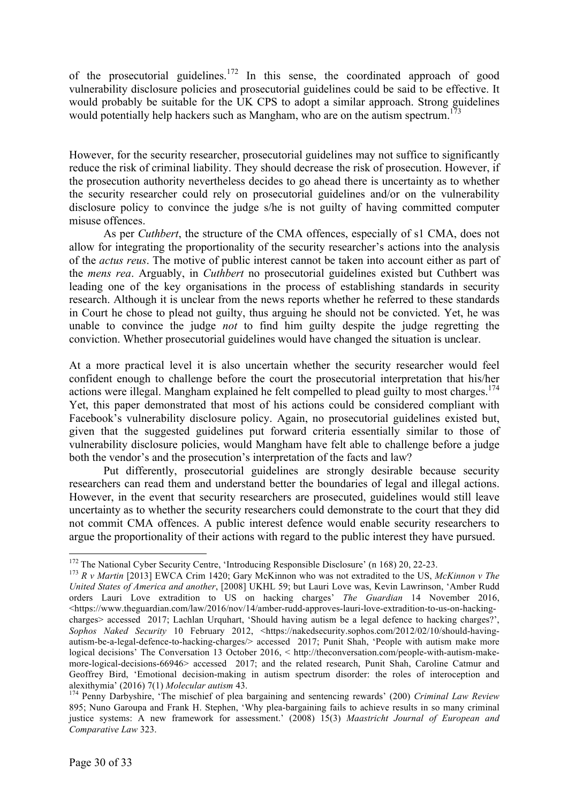of the prosecutorial guidelines.<sup>172</sup> In this sense, the coordinated approach of good vulnerability disclosure policies and prosecutorial guidelines could be said to be effective. It would probably be suitable for the UK CPS to adopt a similar approach. Strong guidelines would potentially help hackers such as Mangham, who are on the autism spectrum.<sup>173</sup>

However, for the security researcher, prosecutorial guidelines may not suffice to significantly reduce the risk of criminal liability. They should decrease the risk of prosecution. However, if the prosecution authority nevertheless decides to go ahead there is uncertainty as to whether the security researcher could rely on prosecutorial guidelines and/or on the vulnerability disclosure policy to convince the judge s/he is not guilty of having committed computer misuse offences.

As per *Cuthbert*, the structure of the CMA offences, especially of s1 CMA, does not allow for integrating the proportionality of the security researcher's actions into the analysis of the *actus reus*. The motive of public interest cannot be taken into account either as part of the *mens rea*. Arguably, in *Cuthbert* no prosecutorial guidelines existed but Cuthbert was leading one of the key organisations in the process of establishing standards in security research. Although it is unclear from the news reports whether he referred to these standards in Court he chose to plead not guilty, thus arguing he should not be convicted. Yet, he was unable to convince the judge *not* to find him guilty despite the judge regretting the conviction. Whether prosecutorial guidelines would have changed the situation is unclear.

At a more practical level it is also uncertain whether the security researcher would feel confident enough to challenge before the court the prosecutorial interpretation that his/her actions were illegal. Mangham explained he felt compelled to plead guilty to most charges.<sup>174</sup> Yet, this paper demonstrated that most of his actions could be considered compliant with Facebook's vulnerability disclosure policy. Again, no prosecutorial guidelines existed but, given that the suggested guidelines put forward criteria essentially similar to those of vulnerability disclosure policies, would Mangham have felt able to challenge before a judge both the vendor's and the prosecution's interpretation of the facts and law?

Put differently, prosecutorial guidelines are strongly desirable because security researchers can read them and understand better the boundaries of legal and illegal actions. However, in the event that security researchers are prosecuted, guidelines would still leave uncertainty as to whether the security researchers could demonstrate to the court that they did not commit CMA offences. A public interest defence would enable security researchers to argue the proportionality of their actions with regard to the public interest they have pursued.

<sup>&</sup>lt;sup>172</sup> The National Cyber Security Centre, 'Introducing Responsible Disclosure' (n 168) 20, 22-23.<br><sup>173</sup> *R v Martin* [2013] EWCA Crim 1420; Gary McKinnon who was not extradited to the US, *McKinnon v The* 

*United States of America and another*, [2008] UKHL 59; but Lauri Love was, Kevin Lawrinson, 'Amber Rudd orders Lauri Love extradition to US on hacking charges' *The Guardian* 14 November 2016, <https://www.theguardian.com/law/2016/nov/14/amber-rudd-approves-lauri-love-extradition-to-us-on-hackingcharges> accessed 2017; Lachlan Urquhart, 'Should having autism be a legal defence to hacking charges?', *Sophos Naked Security* 10 February 2012, <https://nakedsecurity.sophos.com/2012/02/10/should-havingautism-be-a-legal-defence-to-hacking-charges/> accessed 2017; Punit Shah, 'People with autism make more logical decisions' The Conversation 13 October 2016, < http://theconversation.com/people-with-autism-makemore-logical-decisions-66946> accessed 2017; and the related research, Punit Shah, Caroline Catmur and Geoffrey Bird, 'Emotional decision-making in autism spectrum disorder: the roles of interoception and alexithymia' (2016) 7(1) Molecular autism 43.

alexithymia' (2016) 7(1) *Molecular autism* 43. <sup>174</sup> Penny Darbyshire, 'The mischief of plea bargaining and sentencing rewards' (200) *Criminal Law Review* 895; Nuno Garoupa and Frank H. Stephen, 'Why plea-bargaining fails to achieve results in so many criminal justice systems: A new framework for assessment.' (2008) 15(3) *Maastricht Journal of European and Comparative Law* 323.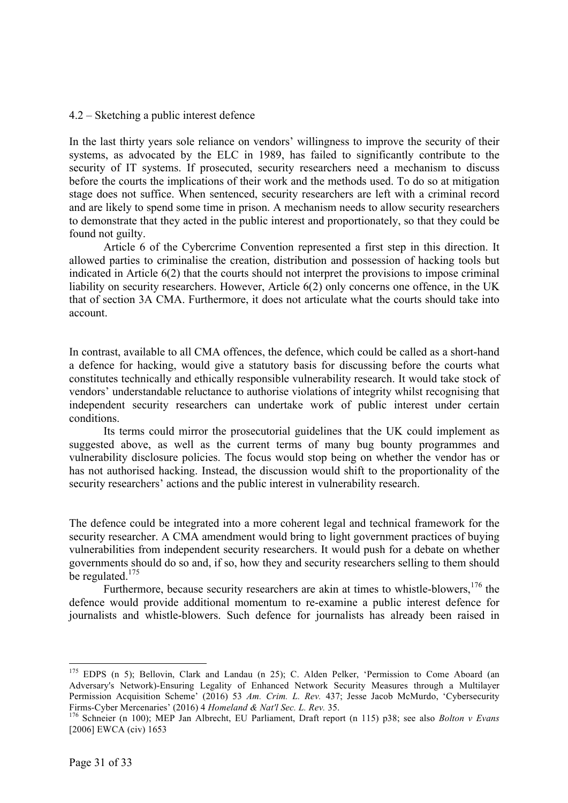#### 4.2 – Sketching a public interest defence

In the last thirty years sole reliance on vendors' willingness to improve the security of their systems, as advocated by the ELC in 1989, has failed to significantly contribute to the security of IT systems. If prosecuted, security researchers need a mechanism to discuss before the courts the implications of their work and the methods used. To do so at mitigation stage does not suffice. When sentenced, security researchers are left with a criminal record and are likely to spend some time in prison. A mechanism needs to allow security researchers to demonstrate that they acted in the public interest and proportionately, so that they could be found not guilty.

Article 6 of the Cybercrime Convention represented a first step in this direction. It allowed parties to criminalise the creation, distribution and possession of hacking tools but indicated in Article 6(2) that the courts should not interpret the provisions to impose criminal liability on security researchers. However, Article 6(2) only concerns one offence, in the UK that of section 3A CMA. Furthermore, it does not articulate what the courts should take into account.

In contrast, available to all CMA offences, the defence, which could be called as a short-hand a defence for hacking, would give a statutory basis for discussing before the courts what constitutes technically and ethically responsible vulnerability research. It would take stock of vendors' understandable reluctance to authorise violations of integrity whilst recognising that independent security researchers can undertake work of public interest under certain conditions.

Its terms could mirror the prosecutorial guidelines that the UK could implement as suggested above, as well as the current terms of many bug bounty programmes and vulnerability disclosure policies. The focus would stop being on whether the vendor has or has not authorised hacking. Instead, the discussion would shift to the proportionality of the security researchers' actions and the public interest in vulnerability research.

The defence could be integrated into a more coherent legal and technical framework for the security researcher. A CMA amendment would bring to light government practices of buying vulnerabilities from independent security researchers. It would push for a debate on whether governments should do so and, if so, how they and security researchers selling to them should be regulated.<sup>175</sup>

Furthermore, because security researchers are akin at times to whistle-blowers, <sup>176</sup> the defence would provide additional momentum to re-examine a public interest defence for journalists and whistle-blowers. Such defence for journalists has already been raised in

<sup>&</sup>lt;sup>175</sup> EDPS (n 5); Bellovin, Clark and Landau (n 25); C. Alden Pelker, 'Permission to Come Aboard (an Adversary's Network)-Ensuring Legality of Enhanced Network Security Measures through a Multilayer Permission Acquisition Scheme' (2016) 53 *Am. Crim. L. Rev.* 437; Jesse Jacob McMurdo, 'Cybersecurity Firms-Cyber Mercenaries' (2016) 4 *Homeland & Nat'l Sec. L. Rev.* 35. <sup>176</sup> Schneier (n 100); MEP Jan Albrecht, EU Parliament, Draft report (n 115) p38; see also *Bolton v Evans*

<sup>[2006]</sup> EWCA (civ) 1653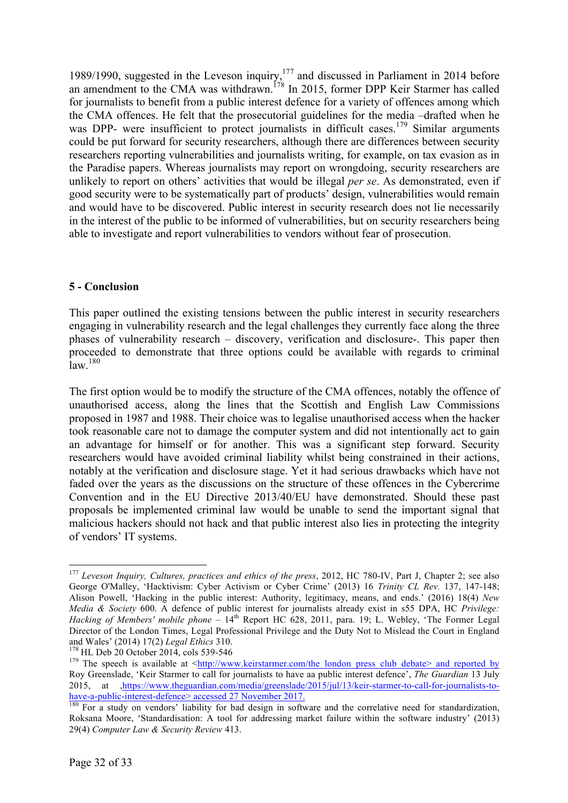1989/1990, suggested in the Leveson inquiry,<sup>177</sup> and discussed in Parliament in 2014 before an amendment to the CMA was withdrawn.<sup>178</sup> In 2015, former DPP Keir Starmer has called for journalists to benefit from a public interest defence for a variety of offences among which the CMA offences. He felt that the prosecutorial guidelines for the media –drafted when he was DPP- were insufficient to protect journalists in difficult cases.<sup>179</sup> Similar arguments could be put forward for security researchers, although there are differences between security researchers reporting vulnerabilities and journalists writing, for example, on tax evasion as in the Paradise papers. Whereas journalists may report on wrongdoing, security researchers are unlikely to report on others' activities that would be illegal *per se*. As demonstrated, even if good security were to be systematically part of products' design, vulnerabilities would remain and would have to be discovered. Public interest in security research does not lie necessarily in the interest of the public to be informed of vulnerabilities, but on security researchers being able to investigate and report vulnerabilities to vendors without fear of prosecution.

# **5 - Conclusion**

This paper outlined the existing tensions between the public interest in security researchers engaging in vulnerability research and the legal challenges they currently face along the three phases of vulnerability research – discovery, verification and disclosure-. This paper then proceeded to demonstrate that three options could be available with regards to criminal law. 180

The first option would be to modify the structure of the CMA offences, notably the offence of unauthorised access, along the lines that the Scottish and English Law Commissions proposed in 1987 and 1988. Their choice was to legalise unauthorised access when the hacker took reasonable care not to damage the computer system and did not intentionally act to gain an advantage for himself or for another. This was a significant step forward. Security researchers would have avoided criminal liability whilst being constrained in their actions, notably at the verification and disclosure stage. Yet it had serious drawbacks which have not faded over the years as the discussions on the structure of these offences in the Cybercrime Convention and in the EU Directive 2013/40/EU have demonstrated. Should these past proposals be implemented criminal law would be unable to send the important signal that malicious hackers should not hack and that public interest also lies in protecting the integrity of vendors' IT systems.

<sup>&</sup>lt;sup>177</sup> Leveson Inquiry, Cultures, practices and ethics of the press, 2012, HC 780-IV, Part J, Chapter 2; see also George O'Malley, 'Hacktivism: Cyber Activism or Cyber Crime' (2013) 16 *Trinity CL Rev.* 137, 147-148; Alison Powell, 'Hacking in the public interest: Authority, legitimacy, means, and ends.' (2016) 18(4) *New Media & Society* 600. A defence of public interest for journalists already exist in s55 DPA, HC *Privilege: Hacking of Members' mobile phone* – 14<sup>th</sup> Report HC 628, 2011, para. 19; L. Webley, 'The Former Legal Director of the London Times, Legal Professional Privilege and the Duty Not to Mislead the Court in England and Wales' (2014) 17(2) Legal Ethics 310.

<sup>&</sup>lt;sup>178</sup> HL Deb 20 October 2014, cols 539-546<br><sup>179</sup> The speech is available at <http://www.keirstarmer.com/the\_london\_press\_club\_debate> and reported by Roy Greenslade, 'Keir Starmer to call for journalists to have aa public interest defence', *The Guardian* 13 July 2015, at  $\frac{https}{/}$ /www.theguardian.com/media/greenslade/2015/jul/13/keir-starmer-to-call-for-journalists-to-<br>have-a-public-interest-defence> accessed 27 November 2017.

 $\frac{180}{180}$  For a study on vendors' liability for bad design in software and the correlative need for standardization, Roksana Moore, 'Standardisation: A tool for addressing market failure within the software industry' (2013) 29(4) *Computer Law & Security Review* 413.